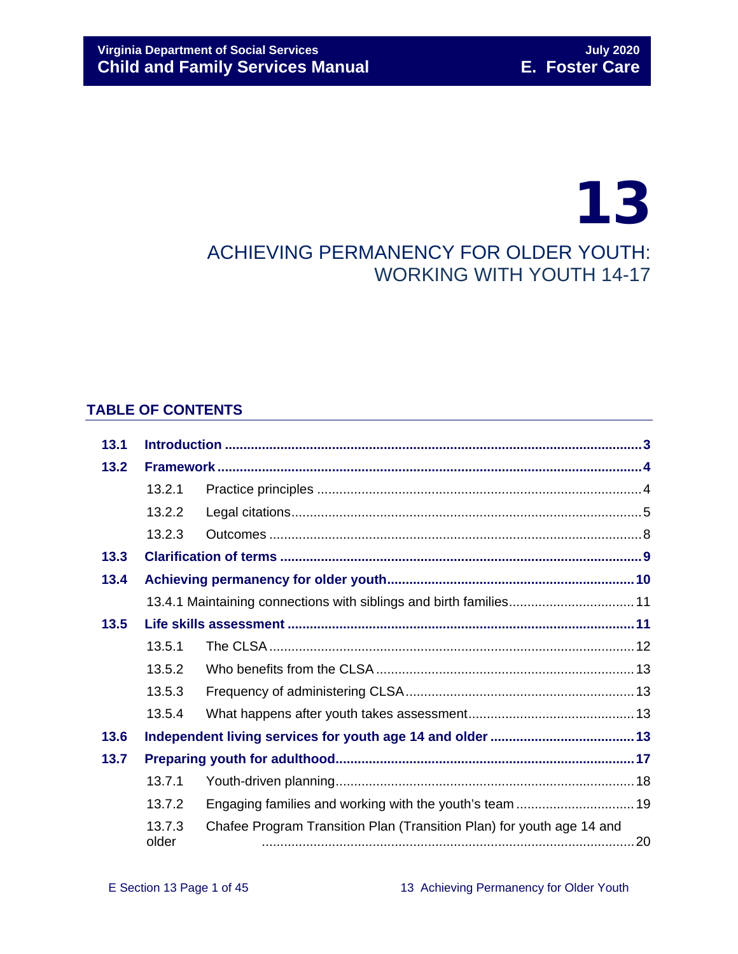# 13 ACHIEVING PERMANENCY FOR OLDER YOUTH: WORKING WITH YOUTH 14-17

#### **TABLE OF CONTENTS**

| 13.1            |        |                                                                       |  |  |  |
|-----------------|--------|-----------------------------------------------------------------------|--|--|--|
| 13.2            |        |                                                                       |  |  |  |
|                 | 13.2.1 |                                                                       |  |  |  |
|                 | 13.2.2 |                                                                       |  |  |  |
|                 | 13.2.3 |                                                                       |  |  |  |
| 13.3            |        |                                                                       |  |  |  |
| 13.4            |        |                                                                       |  |  |  |
|                 |        | 13.4.1 Maintaining connections with siblings and birth families 11    |  |  |  |
| 13.5            |        |                                                                       |  |  |  |
|                 | 13.5.1 |                                                                       |  |  |  |
|                 | 13.5.2 |                                                                       |  |  |  |
|                 | 13.5.3 |                                                                       |  |  |  |
|                 | 13.5.4 |                                                                       |  |  |  |
| 13.6            |        |                                                                       |  |  |  |
| 13.7            |        |                                                                       |  |  |  |
|                 | 13.7.1 |                                                                       |  |  |  |
|                 | 13.7.2 | Engaging families and working with the youth's team  19               |  |  |  |
| 13.7.3<br>older |        | Chafee Program Transition Plan (Transition Plan) for youth age 14 and |  |  |  |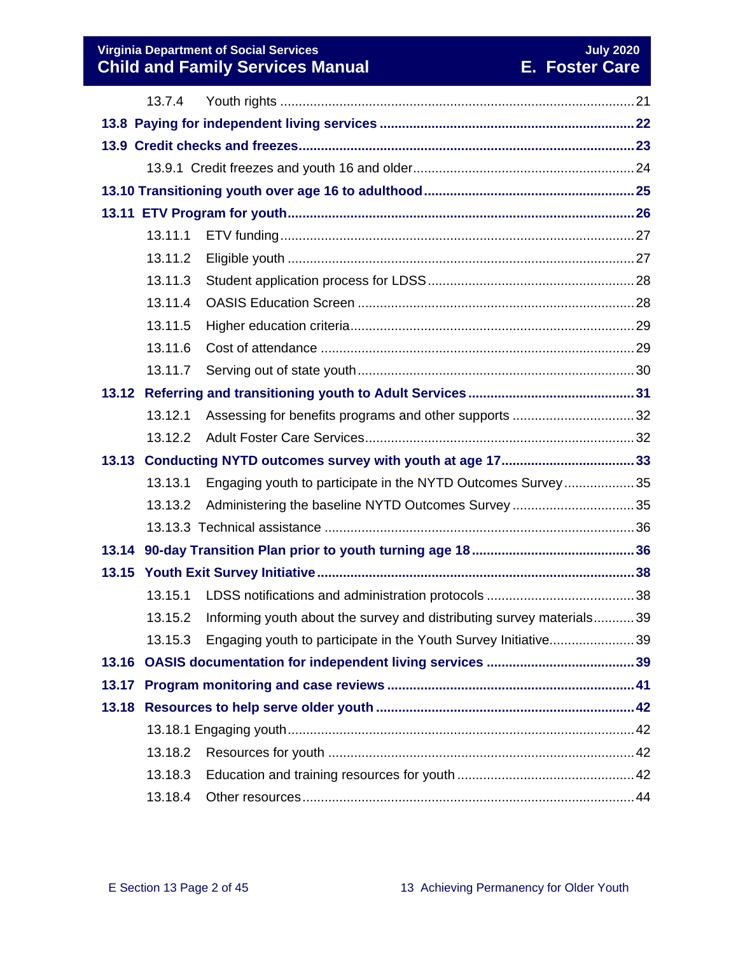#### **Virginia Department of Social Services** July 2020 **July 2020 Child and Family Services Manual E. Foster Care**

|       | 13.7.4  |                                                                      |  |  |  |  |  |  |
|-------|---------|----------------------------------------------------------------------|--|--|--|--|--|--|
|       |         |                                                                      |  |  |  |  |  |  |
|       |         |                                                                      |  |  |  |  |  |  |
|       |         |                                                                      |  |  |  |  |  |  |
|       |         |                                                                      |  |  |  |  |  |  |
|       |         |                                                                      |  |  |  |  |  |  |
|       | 13.11.1 |                                                                      |  |  |  |  |  |  |
|       | 13.11.2 |                                                                      |  |  |  |  |  |  |
|       | 13.11.3 |                                                                      |  |  |  |  |  |  |
|       | 13.11.4 |                                                                      |  |  |  |  |  |  |
|       | 13.11.5 |                                                                      |  |  |  |  |  |  |
|       | 13.11.6 |                                                                      |  |  |  |  |  |  |
|       | 13.11.7 |                                                                      |  |  |  |  |  |  |
|       |         |                                                                      |  |  |  |  |  |  |
|       | 13.12.1 |                                                                      |  |  |  |  |  |  |
|       | 13.12.2 |                                                                      |  |  |  |  |  |  |
|       |         |                                                                      |  |  |  |  |  |  |
|       | 13.13.1 | Engaging youth to participate in the NYTD Outcomes Survey35          |  |  |  |  |  |  |
|       | 13.13.2 |                                                                      |  |  |  |  |  |  |
|       |         |                                                                      |  |  |  |  |  |  |
|       |         |                                                                      |  |  |  |  |  |  |
|       |         |                                                                      |  |  |  |  |  |  |
|       | 13.15.1 |                                                                      |  |  |  |  |  |  |
|       | 13.15.2 | Informing youth about the survey and distributing survey materials39 |  |  |  |  |  |  |
|       | 13.15.3 | Engaging youth to participate in the Youth Survey Initiative39       |  |  |  |  |  |  |
| 13.16 |         |                                                                      |  |  |  |  |  |  |
| 13.17 |         |                                                                      |  |  |  |  |  |  |
|       |         |                                                                      |  |  |  |  |  |  |
|       |         |                                                                      |  |  |  |  |  |  |
|       | 13.18.2 |                                                                      |  |  |  |  |  |  |
|       | 13.18.3 |                                                                      |  |  |  |  |  |  |
|       | 13.18.4 |                                                                      |  |  |  |  |  |  |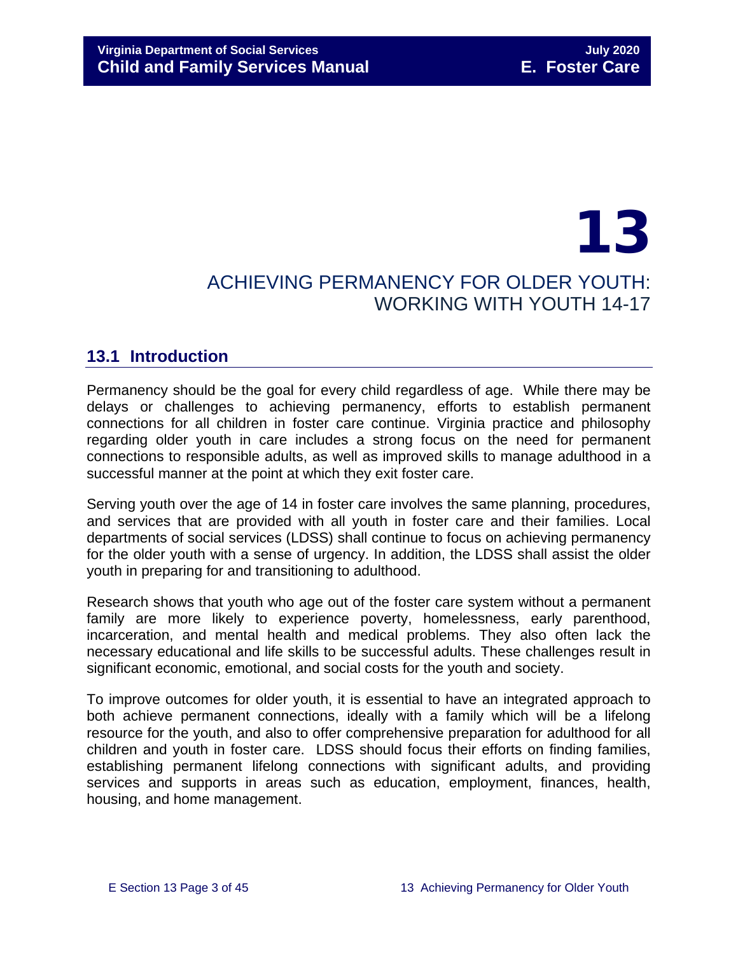## 13 ACHIEVING PERMANENCY FOR OLDER YOUTH: WORKING WITH YOUTH 14-17

## <span id="page-2-0"></span>**13.1 Introduction**

Permanency should be the goal for every child regardless of age. While there may be delays or challenges to achieving permanency, efforts to establish permanent connections for all children in foster care continue. Virginia practice and philosophy regarding older youth in care includes a strong focus on the need for permanent connections to responsible adults, as well as improved skills to manage adulthood in a successful manner at the point at which they exit foster care.

Serving youth over the age of 14 in foster care involves the same planning, procedures, and services that are provided with all youth in foster care and their families. Local departments of social services (LDSS) shall continue to focus on achieving permanency for the older youth with a sense of urgency. In addition, the LDSS shall assist the older youth in preparing for and transitioning to adulthood.

Research shows that youth who age out of the foster care system without a permanent family are more likely to experience poverty, homelessness, early parenthood, incarceration, and mental health and medical problems. They also often lack the necessary educational and life skills to be successful adults. These challenges result in significant economic, emotional, and social costs for the youth and society.

To improve outcomes for older youth, it is essential to have an integrated approach to both achieve permanent connections, ideally with a family which will be a lifelong resource for the youth, and also to offer comprehensive preparation for adulthood for all children and youth in foster care. LDSS should focus their efforts on finding families, establishing permanent lifelong connections with significant adults, and providing services and supports in areas such as education, employment, finances, health, housing, and home management.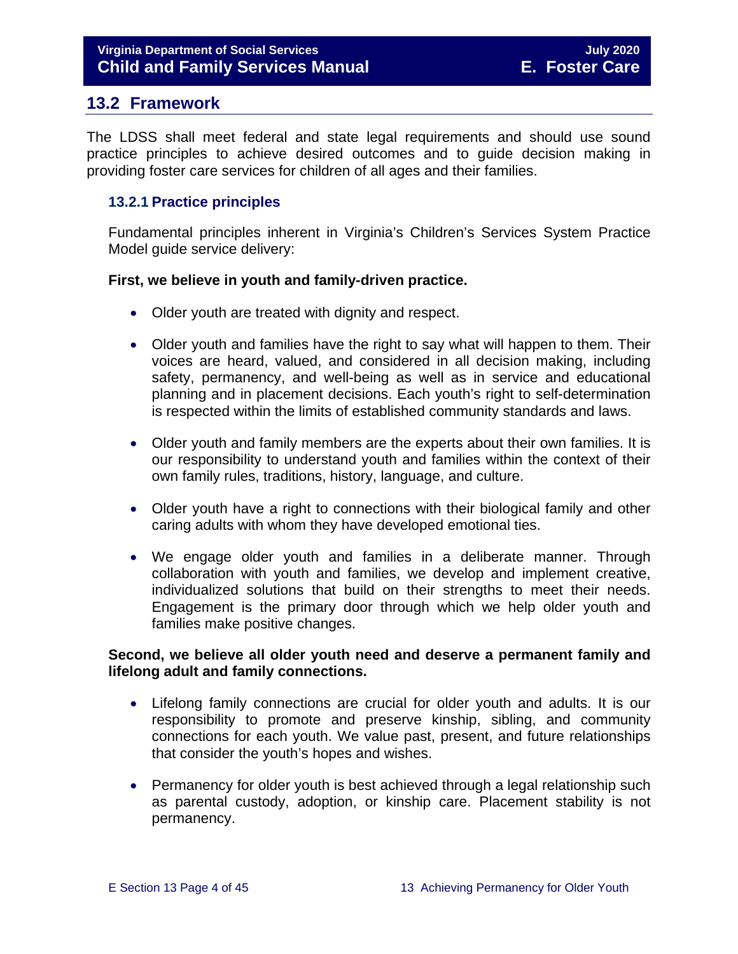### <span id="page-3-0"></span>**13.2 Framework**

The LDSS shall meet federal and state legal requirements and should use sound practice principles to achieve desired outcomes and to guide decision making in providing foster care services for children of all ages and their families.

#### <span id="page-3-1"></span>**13.2.1 Practice principles**

Fundamental principles inherent in Virginia's Children's Services System Practice Model guide service delivery:

#### **First, we believe in youth and family-driven practice.**

- Older youth are treated with dignity and respect.
- Older youth and families have the right to say what will happen to them. Their voices are heard, valued, and considered in all decision making, including safety, permanency, and well-being as well as in service and educational planning and in placement decisions. Each youth's right to self-determination is respected within the limits of established community standards and laws.
- Older youth and family members are the experts about their own families. It is our responsibility to understand youth and families within the context of their own family rules, traditions, history, language, and culture.
- Older youth have a right to connections with their biological family and other caring adults with whom they have developed emotional ties.
- We engage older youth and families in a deliberate manner. Through collaboration with youth and families, we develop and implement creative, individualized solutions that build on their strengths to meet their needs. Engagement is the primary door through which we help older youth and families make positive changes.

#### **Second, we believe all older youth need and deserve a permanent family and lifelong adult and family connections.**

- Lifelong family connections are crucial for older youth and adults. It is our responsibility to promote and preserve kinship, sibling, and community connections for each youth. We value past, present, and future relationships that consider the youth's hopes and wishes.
- Permanency for older youth is best achieved through a legal relationship such as parental custody, adoption, or kinship care. Placement stability is not permanency.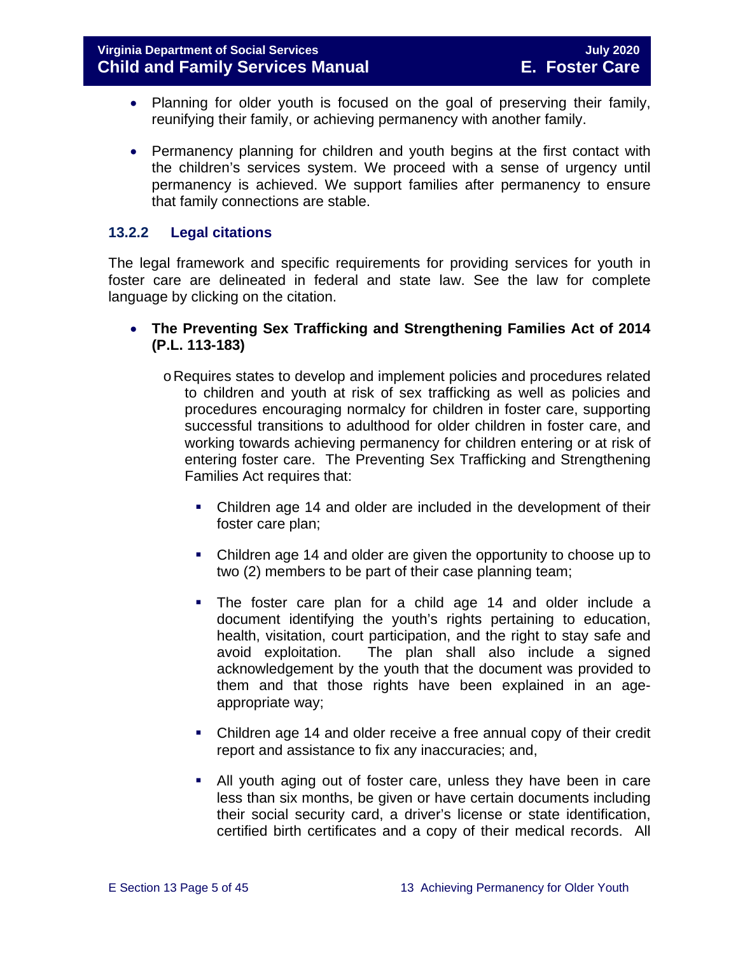- Planning for older youth is focused on the goal of preserving their family, reunifying their family, or achieving permanency with another family.
- Permanency planning for children and youth begins at the first contact with the children's services system. We proceed with a sense of urgency until permanency is achieved. We support families after permanency to ensure that family connections are stable.

#### <span id="page-4-0"></span>**13.2.2 Legal citations**

The legal framework and specific requirements for providing services for youth in foster care are delineated in federal and state law. See the law for complete language by clicking on the citation.

- **The Preventing Sex Trafficking and Strengthening Families Act of 2014 (P.L. 113-183)**
	- oRequires states to develop and implement policies and procedures related to children and youth at risk of sex trafficking as well as policies and procedures encouraging normalcy for children in foster care, supporting successful transitions to adulthood for older children in foster care, and working towards achieving permanency for children entering or at risk of entering foster care. The Preventing Sex Trafficking and Strengthening Families Act requires that:
		- Children age 14 and older are included in the development of their foster care plan;
		- Children age 14 and older are given the opportunity to choose up to two (2) members to be part of their case planning team;
		- The foster care plan for a child age 14 and older include a document identifying the youth's rights pertaining to education, health, visitation, court participation, and the right to stay safe and avoid exploitation. The plan shall also include a signed acknowledgement by the youth that the document was provided to them and that those rights have been explained in an ageappropriate way;
		- Children age 14 and older receive a free annual copy of their credit report and assistance to fix any inaccuracies; and,
		- All youth aging out of foster care, unless they have been in care less than six months, be given or have certain documents including their social security card, a driver's license or state identification, certified birth certificates and a copy of their medical records. All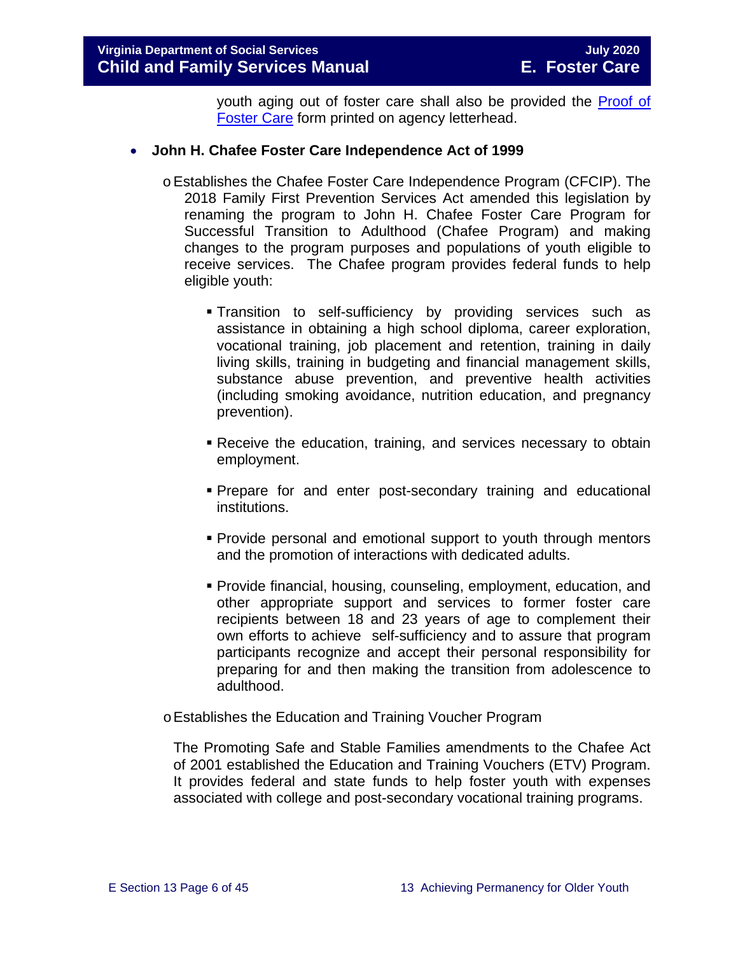youth aging out of foster care shall also be provided the [Proof of](https://fusion.dss.virginia.gov/dfs/DFS-Home/Foster-Care/Foster-Care-Forms)  [Foster Care](https://fusion.dss.virginia.gov/dfs/DFS-Home/Foster-Care/Foster-Care-Forms) form printed on agency letterhead.

#### • **John H. Chafee Foster Care Independence Act of 1999**

- oEstablishes the Chafee Foster Care Independence Program (CFCIP). The 2018 Family First Prevention Services Act amended this legislation by renaming the program to John H. Chafee Foster Care Program for Successful Transition to Adulthood (Chafee Program) and making changes to the program purposes and populations of youth eligible to receive services. The Chafee program provides federal funds to help eligible youth:
	- Transition to self-sufficiency by providing services such as assistance in obtaining a high school diploma, career exploration, vocational training, job placement and retention, training in daily living skills, training in budgeting and financial management skills, substance abuse prevention, and preventive health activities (including smoking avoidance, nutrition education, and pregnancy prevention).
	- Receive the education, training, and services necessary to obtain employment.
	- Prepare for and enter post-secondary training and educational institutions.
	- **Provide personal and emotional support to youth through mentors** and the promotion of interactions with dedicated adults.
	- Provide financial, housing, counseling, employment, education, and other appropriate support and services to former foster care recipients between 18 and 23 years of age to complement their own efforts to achieve self-sufficiency and to assure that program participants recognize and accept their personal responsibility for preparing for and then making the transition from adolescence to adulthood.
- oEstablishes the Education and Training Voucher Program

The Promoting Safe and Stable Families amendments to the Chafee Act of 2001 established the Education and Training Vouchers (ETV) Program. It provides federal and state funds to help foster youth with expenses associated with college and post-secondary vocational training programs.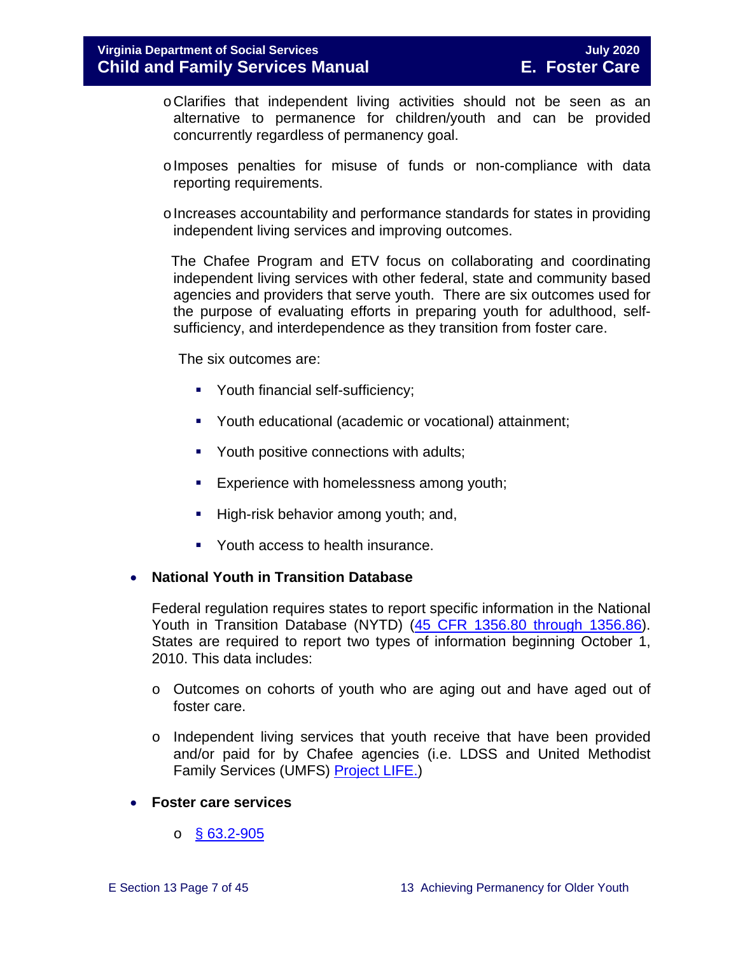- oClarifies that independent living activities should not be seen as an alternative to permanence for children/youth and can be provided concurrently regardless of permanency goal.
- oImposes penalties for misuse of funds or non-compliance with data reporting requirements.
- $\circ$  Increases accountability and performance standards for states in providing independent living services and improving outcomes.

 The Chafee Program and ETV focus on collaborating and coordinating independent living services with other federal, state and community based agencies and providers that serve youth. There are six outcomes used for the purpose of evaluating efforts in preparing youth for adulthood, selfsufficiency, and interdependence as they transition from foster care.

The six outcomes are:

- **Youth financial self-sufficiency;**
- Youth educational (academic or vocational) attainment;
- Youth positive connections with adults;
- **Experience with homelessness among youth;**
- High-risk behavior among youth; and,
- Youth access to health insurance.

#### • **National Youth in Transition Database**

Federal regulation requires states to report specific information in the National Youth in Transition Database (NYTD) [\(45 CFR 1356.80 through 1356.86\)](http://www.ecfr.gov/cgi-bin/retrieveECFR?gp=1&SID=3d9be8b33d08994a45cff8aaff9f9476&ty=HTML&h=L&mc=true&r=PART&n=pt45.4.1356). States are required to report two types of information beginning October 1, 2010. This data includes:

- o Outcomes on cohorts of youth who are aging out and have aged out of foster care.
- o Independent living services that youth receive that have been provided and/or paid for by Chafee agencies (i.e. LDSS and United Methodist Family Services (UMFS) [Project LIFE.](http://www.vaprojectlife.org/))
- **Foster care services** 
	- $\circ$  [§ 63.2-905](https://law.lis.virginia.gov/vacode/title63.2/chapter9/section63.2-905/)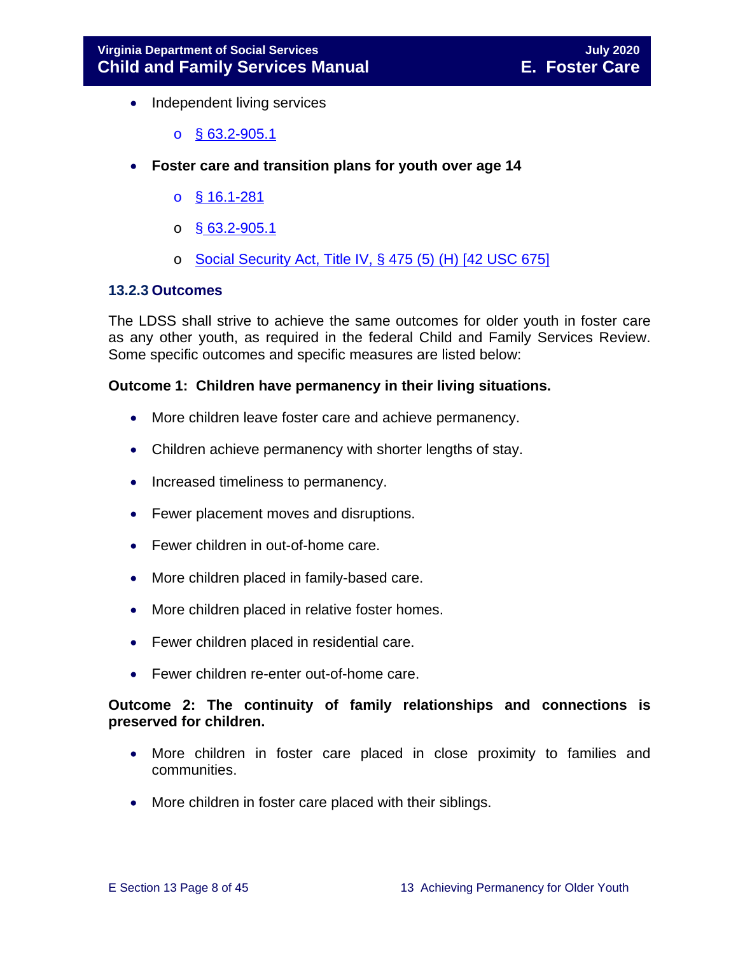- Independent living services
	- o [§ 63.2-905.1](https://law.lis.virginia.gov/vacode/title63.2/chapter9/section63.2-905.1/)
- **Foster care and transition plans for youth over age 14** 
	- o [§ 16.1-281](https://law.lis.virginia.gov/vacode/title16.1/chapter11/section16.1-281/)
	- $\circ$  § [63.2-905.1](https://law.lis.virginia.gov/vacode/title63.2/chapter9/section63.2-905.1/)
	- o [Social Security Act, Title IV, § 475 \(5\) \(H\) \[42 USC 675\]](http://www.ssa.gov/OP_Home/ssact/title04/0475.htm)

#### <span id="page-7-0"></span>**13.2.3 Outcomes**

The LDSS shall strive to achieve the same outcomes for older youth in foster care as any other youth, as required in the federal Child and Family Services Review. Some specific outcomes and specific measures are listed below:

#### **Outcome 1: Children have permanency in their living situations.**

- More children leave foster care and achieve permanency.
- Children achieve permanency with shorter lengths of stay.
- Increased timeliness to permanency.
- Fewer placement moves and disruptions.
- Fewer children in out-of-home care.
- More children placed in family-based care.
- More children placed in relative foster homes.
- Fewer children placed in residential care.
- Fewer children re-enter out-of-home care.

#### **Outcome 2: The continuity of family relationships and connections is preserved for children.**

- More children in foster care placed in close proximity to families and communities.
- More children in foster care placed with their siblings.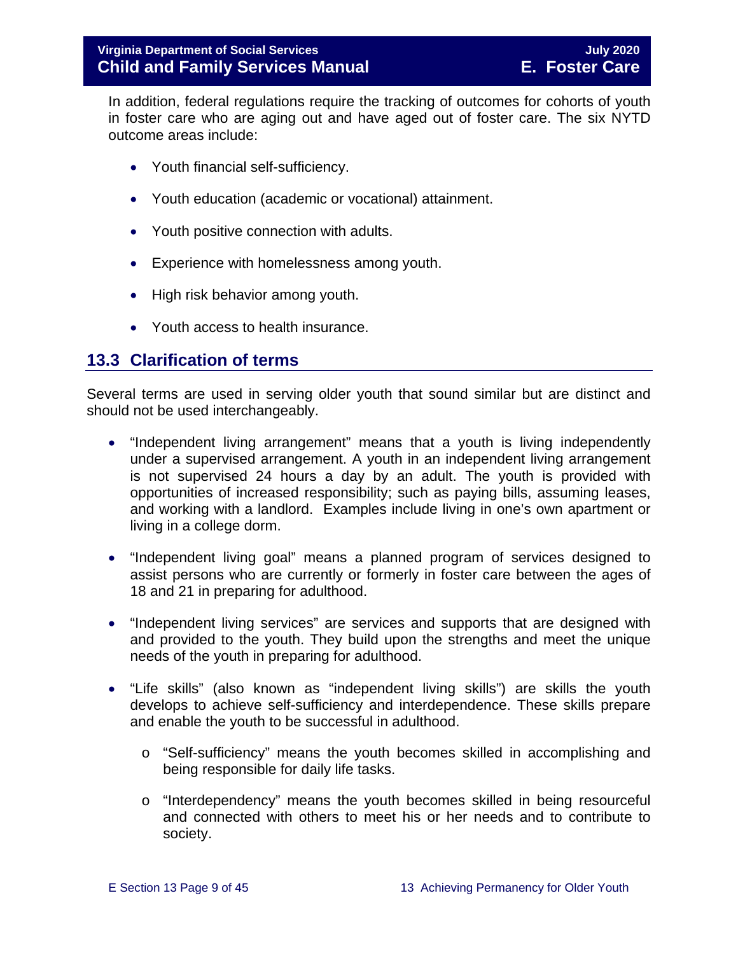In addition, federal regulations require the tracking of outcomes for cohorts of youth in foster care who are aging out and have aged out of foster care. The six NYTD outcome areas include:

- Youth financial self-sufficiency.
- Youth education (academic or vocational) attainment.
- Youth positive connection with adults.
- Experience with homelessness among youth.
- High risk behavior among youth.
- Youth access to health insurance.

#### <span id="page-8-0"></span>**13.3 Clarification of terms**

Several terms are used in serving older youth that sound similar but are distinct and should not be used interchangeably.

- "Independent living arrangement" means that a youth is living independently under a supervised arrangement. A youth in an independent living arrangement is not supervised 24 hours a day by an adult. The youth is provided with opportunities of increased responsibility; such as paying bills, assuming leases, and working with a landlord. Examples include living in one's own apartment or living in a college dorm.
- "Independent living goal" means a planned program of services designed to assist persons who are currently or formerly in foster care between the ages of 18 and 21 in preparing for adulthood.
- "Independent living services" are services and supports that are designed with and provided to the youth. They build upon the strengths and meet the unique needs of the youth in preparing for adulthood.
- "Life skills" (also known as "independent living skills") are skills the youth develops to achieve self-sufficiency and interdependence. These skills prepare and enable the youth to be successful in adulthood.
	- o "Self-sufficiency" means the youth becomes skilled in accomplishing and being responsible for daily life tasks.
	- o "Interdependency" means the youth becomes skilled in being resourceful and connected with others to meet his or her needs and to contribute to society.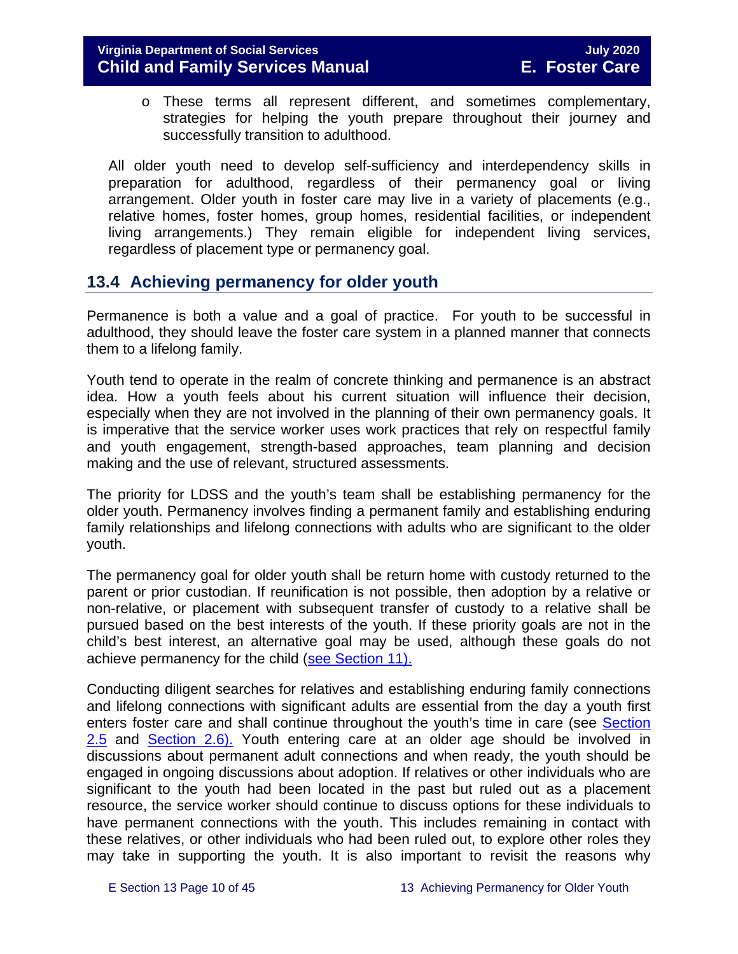o These terms all represent different, and sometimes complementary, strategies for helping the youth prepare throughout their journey and successfully transition to adulthood.

All older youth need to develop self-sufficiency and interdependency skills in preparation for adulthood, regardless of their permanency goal or living arrangement. Older youth in foster care may live in a variety of placements (e.g., relative homes, foster homes, group homes, residential facilities, or independent living arrangements.) They remain eligible for independent living services, regardless of placement type or permanency goal.

## <span id="page-9-0"></span>**13.4 Achieving permanency for older youth**

Permanence is both a value and a goal of practice. For youth to be successful in adulthood, they should leave the foster care system in a planned manner that connects them to a lifelong family.

Youth tend to operate in the realm of concrete thinking and permanence is an abstract idea. How a youth feels about his current situation will influence their decision, especially when they are not involved in the planning of their own permanency goals. It is imperative that the service worker uses work practices that rely on respectful family and youth engagement, strength-based approaches, team planning and decision making and the use of relevant, structured assessments.

The priority for LDSS and the youth's team shall be establishing permanency for the older youth. Permanency involves finding a permanent family and establishing enduring family relationships and lifelong connections with adults who are significant to the older youth.

The permanency goal for older youth shall be return home with custody returned to the parent or prior custodian. If reunification is not possible, then adoption by a relative or non-relative, or placement with subsequent transfer of custody to a relative shall be pursued based on the best interests of the youth. If these priority goals are not in the child's best interest, an alternative goal may be used, although these goals do not achieve permanency for the child [\(see Section 11\).](https://fusion.dss.virginia.gov/Portals/%5bdfs%5d/Files/DFS%20Manuals/Foster%20Care%20Manuals/Foster%20Care%20Manual%2007-2020/Final%20Foster%20Care%20Manual%2007-2020/section_11_alternative_foster_care_goals.pdf)

Conducting diligent searches for relatives and establishing enduring family connections and lifelong connections with significant adults are essential from the day a youth first enters foster care and shall continue throughout the youth's time in care (see [Section](https://fusion.dss.virginia.gov/Portals/%5bdfs%5d/Files/DFS%20Manuals/Foster%20Care%20Manuals/Foster%20Care%20Manual%2007-2020/Final%20Foster%20Care%20Manual%2007-2020/section_2_engaging_the_child_family_and_significant_adults.pdf#page=10) [2.5](https://fusion.dss.virginia.gov/Portals/%5bdfs%5d/Files/DFS%20Manuals/Foster%20Care%20Manuals/Foster%20Care%20Manual%2007-2020/Final%20Foster%20Care%20Manual%2007-2020/section_2_engaging_the_child_family_and_significant_adults.pdf#page=10) and [Section](https://fusion.dss.virginia.gov/Portals/%5bdfs%5d/Files/DFS%20Manuals/Foster%20Care%20Manuals/Foster%20Care%20Manual%2007-2020/section_2_engaging_the_child_family_and_significant_adults.pdf#page=13) 2.6). Youth entering care at an older age should be involved in discussions about permanent adult connections and when ready, the youth should be engaged in ongoing discussions about adoption. If relatives or other individuals who are significant to the youth had been located in the past but ruled out as a placement resource, the service worker should continue to discuss options for these individuals to have permanent connections with the youth. This includes remaining in contact with these relatives, or other individuals who had been ruled out, to explore other roles they may take in supporting the youth. It is also important to revisit the reasons why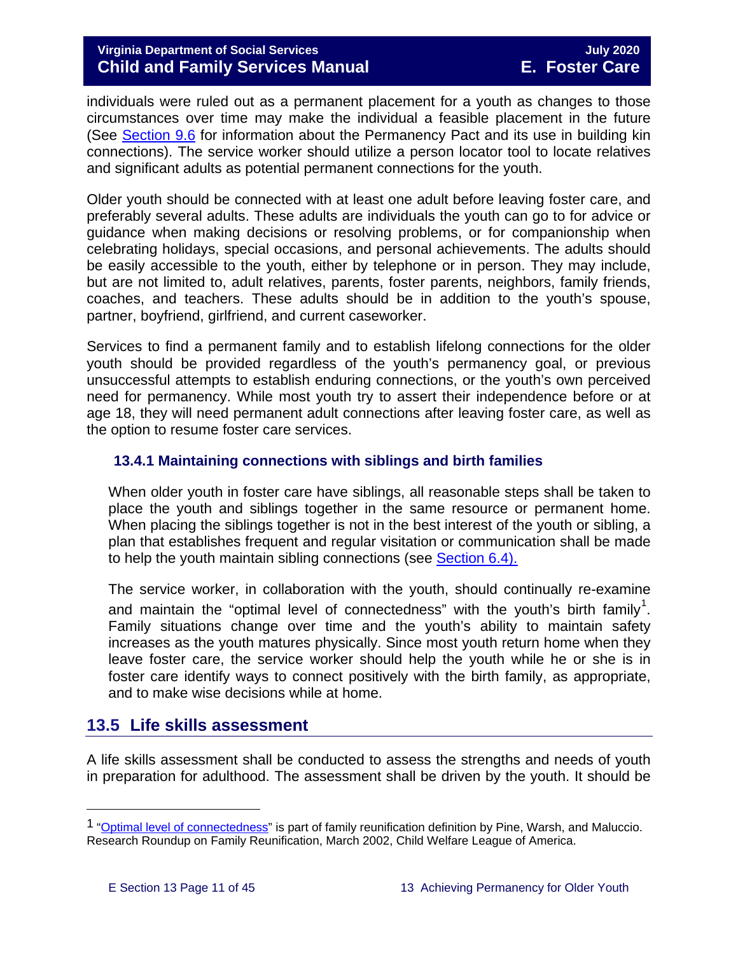individuals were ruled out as a permanent placement for a youth as changes to those circumstances over time may make the individual a feasible placement in the future (See [Section 9.6](https://fusion.dss.virginia.gov/Portals/%5bdfs%5d/Files/DFS%20Manuals/Foster%20Care%20Manuals/Foster%20Care%20Manual%2007-2020/Final%20Foster%20Care%20Manual%2007-2020/section_9_achieving_permanency_goal_adoption.pdf#page=22) for information about the Permanency Pact and its use in building kin connections). The service worker should utilize a person locator tool to locate relatives and significant adults as potential permanent connections for the youth.

Older youth should be connected with at least one adult before leaving foster care, and preferably several adults. These adults are individuals the youth can go to for advice or guidance when making decisions or resolving problems, or for companionship when celebrating holidays, special occasions, and personal achievements. The adults should be easily accessible to the youth, either by telephone or in person. They may include, but are not limited to, adult relatives, parents, foster parents, neighbors, family friends, coaches, and teachers. These adults should be in addition to the youth's spouse, partner, boyfriend, girlfriend, and current caseworker.

Services to find a permanent family and to establish lifelong connections for the older youth should be provided regardless of the youth's permanency goal, or previous unsuccessful attempts to establish enduring connections, or the youth's own perceived need for permanency. While most youth try to assert their independence before or at age 18, they will need permanent adult connections after leaving foster care, as well as the option to resume foster care services.

#### <span id="page-10-0"></span>**13.4.1 Maintaining connections with siblings and birth families**

When older youth in foster care have siblings, all reasonable steps shall be taken to place the youth and siblings together in the same resource or permanent home. When placing the siblings together is not in the best interest of the youth or sibling, a plan that establishes frequent and regular visitation or communication shall be made to help the youth maintain sibling connections (see [Section 6.4\).](https://fusion.dss.virginia.gov/Portals/%5bdfs%5d/Files/DFS%20Manuals/Foster%20Care%20Manuals/Foster%20Care%20Manual%2007-2020/Final%20Foster%20Care%20Manual%2007-2020/section_6_placement_to_achieve_permanency.pdf#page=13)

The service worker, in collaboration with the youth, should continually re-examine and maintain the "optimal level of connectedness" with the youth's birth family<sup>[1](#page-10-2)</sup>. Family situations change over time and the youth's ability to maintain safety increases as the youth matures physically. Since most youth return home when they leave foster care, the service worker should help the youth while he or she is in foster care identify ways to connect positively with the birth family, as appropriate, and to make wise decisions while at home.

## <span id="page-10-1"></span>**13.5 Life skills assessment**

A life skills assessment shall be conducted to assess the strengths and needs of youth in preparation for adulthood. The assessment shall be driven by the youth. It should be

Ĩ.

<span id="page-10-2"></span><sup>&</sup>lt;sup>1</sup> ["Optimal level of connectedness"](http://www.cwla.org/programs/r2p/rrnews0203.pdf) is part of family reunification definition by Pine, Warsh, and Maluccio. Research Roundup on Family Reunification, March 2002, Child Welfare League of America.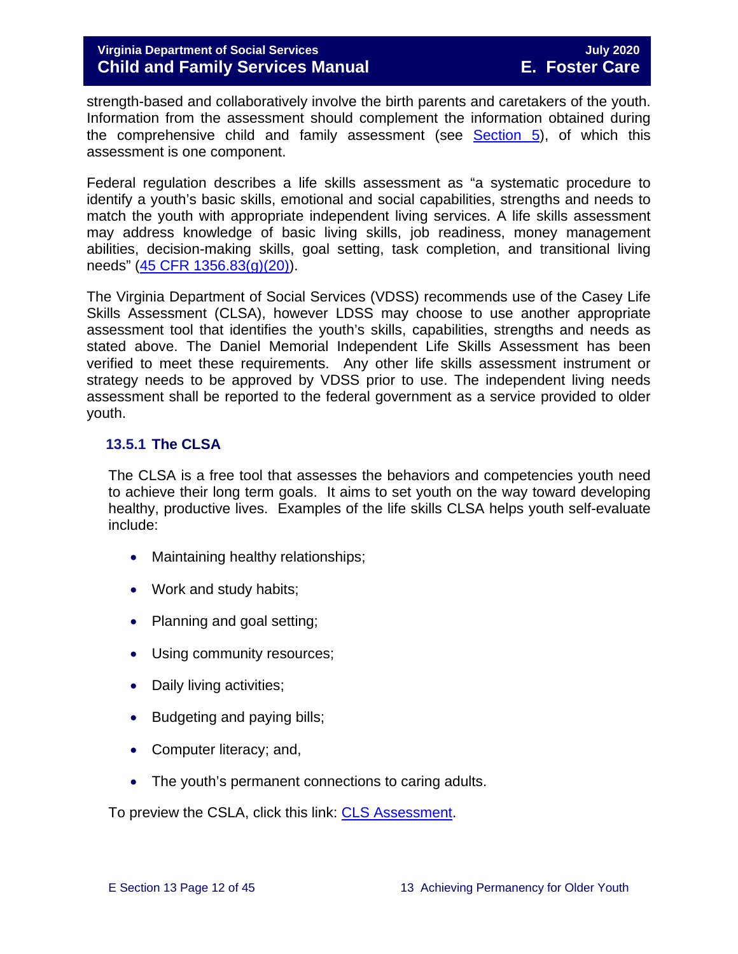strength-based and collaboratively involve the birth parents and caretakers of the youth. Information from the assessment should complement the information obtained during the comprehensive child and family assessment (see [Section 5\)](https://fusion.dss.virginia.gov/Portals/%5bdfs%5d/Files/DFS%20Manuals/Foster%20Care%20Manuals/Foster%20Care%20Manual%2007-2020/section_5_conducting_child_and_family_assessment.pdf), of which this assessment is one component.

Federal regulation describes a life skills assessment as "a systematic procedure to identify a youth's basic skills, emotional and social capabilities, strengths and needs to match the youth with appropriate independent living services. A life skills assessment may address knowledge of basic living skills, job readiness, money management abilities, decision-making skills, goal setting, task completion, and transitional living needs" [\(45 CFR 1356.83\(g\)\(20\)\)](https://www.law.cornell.edu/cfr/text/45/1356.83).

The Virginia Department of Social Services (VDSS) recommends use of the Casey Life Skills Assessment (CLSA), however LDSS may choose to use another appropriate assessment tool that identifies the youth's skills, capabilities, strengths and needs as stated above. The Daniel Memorial Independent Life Skills Assessment has been verified to meet these requirements. Any other life skills assessment instrument or strategy needs to be approved by VDSS prior to use. The independent living needs assessment shall be reported to the federal government as a service provided to older youth.

#### <span id="page-11-0"></span>**13.5.1 The CLSA**

The CLSA is a free tool that assesses the behaviors and competencies youth need to achieve their long term goals. It aims to set youth on the way toward developing healthy, productive lives. Examples of the life skills CLSA helps youth self-evaluate include:

- Maintaining healthy relationships;
- Work and study habits;
- Planning and goal setting;
- Using community resources;
- Daily living activities;
- Budgeting and paying bills;
- Computer literacy; and,
- The youth's permanent connections to caring adults.

To preview the CSLA, click this link: [CLS Assessment.](http://lifeskills.casey.org/)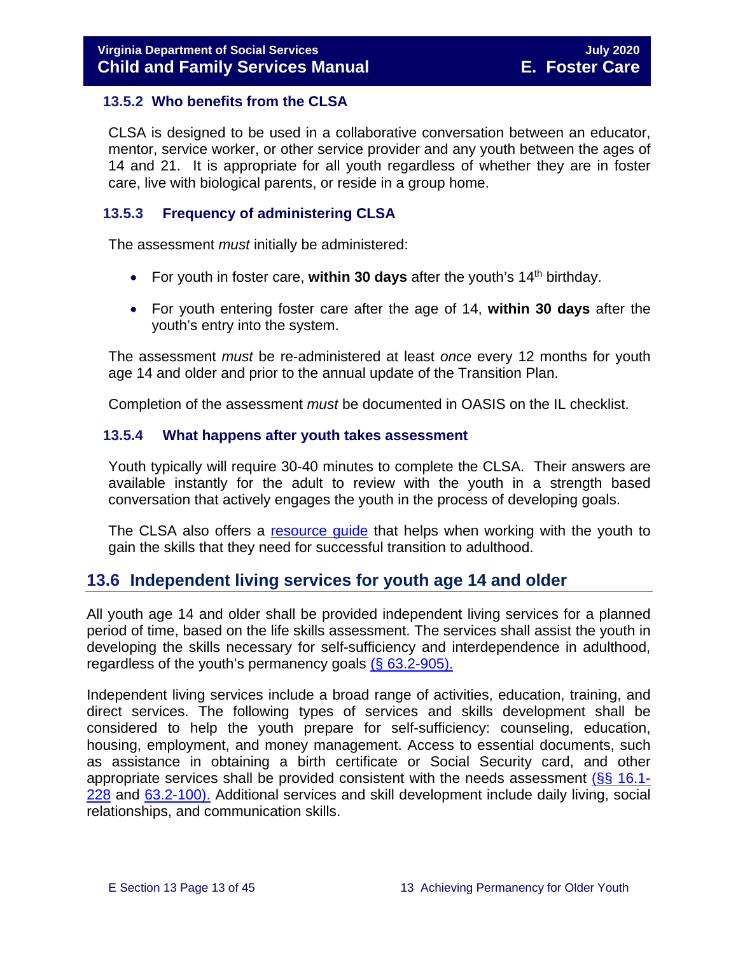#### <span id="page-12-0"></span>**13.5.2 Who benefits from the CLSA**

CLSA is designed to be used in a collaborative conversation between an educator, mentor, service worker, or other service provider and any youth between the ages of 14 and 21. It is appropriate for all youth regardless of whether they are in foster care, live with biological parents, or reside in a group home.

#### <span id="page-12-1"></span>**13.5.3 Frequency of administering CLSA**

The assessment *must* initially be administered:

- For youth in foster care, **within 30 days** after the youth's 14<sup>th</sup> birthday.
- For youth entering foster care after the age of 14, **within 30 days** after the youth's entry into the system.

The assessment *must* be re-administered at least *once* every 12 months for youth age 14 and older and prior to the annual update of the Transition Plan.

Completion of the assessment *must* be documented in OASIS on the IL checklist.

#### <span id="page-12-2"></span>**13.5.4 What happens after youth takes assessment**

Youth typically will require 30-40 minutes to complete the CLSA. Their answers are available instantly for the adult to review with the youth in a strength based conversation that actively engages the youth in the process of developing goals.

The CLSA also offers a resource quide that helps when working with the youth to gain the skills that they need for successful transition to adulthood.

## <span id="page-12-3"></span>**13.6 Independent living services for youth age 14 and older**

All youth age 14 and older shall be provided independent living services for a planned period of time, based on the life skills assessment. The services shall assist the youth in developing the skills necessary for self-sufficiency and interdependence in adulthood, regardless of the youth's permanency goals  $(§ 63.2-905)$ .

Independent living services include a broad range of activities, education, training, and direct services. The following types of services and skills development shall be considered to help the youth prepare for self-sufficiency: counseling, education, housing, employment, and money management. Access to essential documents, such as assistance in obtaining a birth certificate or Social Security card, and other appropriate services shall be provided consistent with the needs assessment [\(§§ 16.1-](https://law.lis.virginia.gov/vacode/16.1-228/) [228](https://law.lis.virginia.gov/vacode/16.1-228/) and [63.2-100\).](https://law.lis.virginia.gov/vacode/63.2-100/) Additional services and skill development include daily living, social relationships, and communication skills.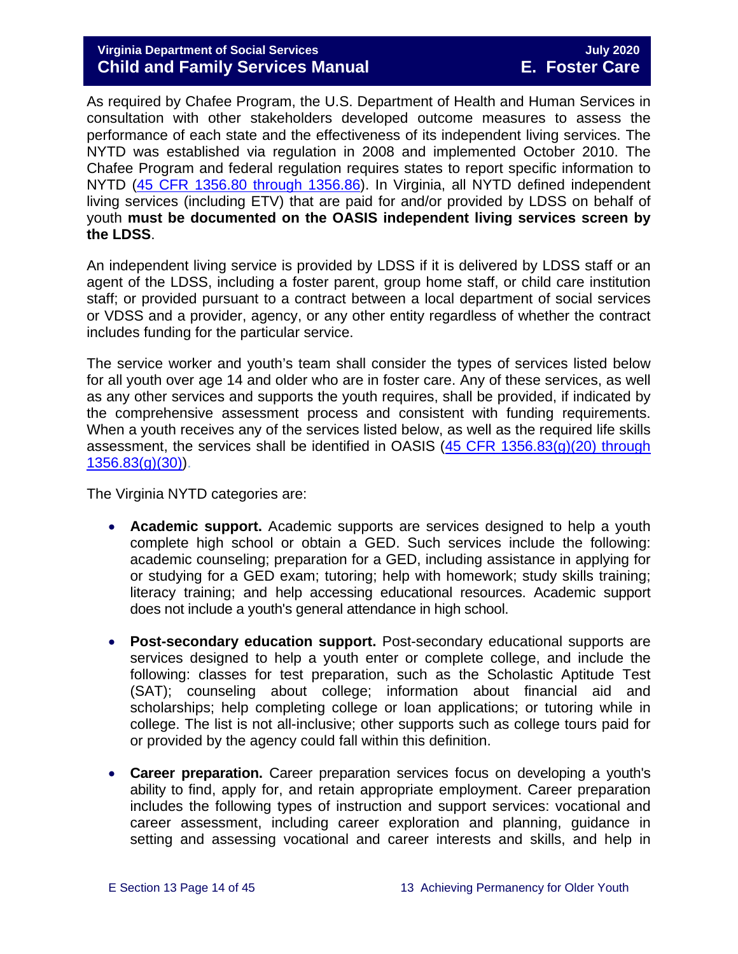#### **Virginia Department of Social Services**<br> **Child and Family Services Manual** E. Foster Care **Child and Family Services Manual**

As required by Chafee Program, the U.S. Department of Health and Human Services in consultation with other stakeholders developed outcome measures to assess the performance of each state and the effectiveness of its independent living services. The NYTD was established via regulation in 2008 and implemented October 2010. The Chafee Program and federal regulation requires states to report specific information to NYTD [\(45 CFR 1356.80 through 1356.86\)](https://www.law.cornell.edu/cfr/text/45/1356.80). In Virginia, all NYTD defined independent living services (including ETV) that are paid for and/or provided by LDSS on behalf of youth **must be documented on the OASIS independent living services screen by the LDSS**.

An independent living service is provided by LDSS if it is delivered by LDSS staff or an agent of the LDSS, including a foster parent, group home staff, or child care institution staff; or provided pursuant to a contract between a local department of social services or VDSS and a provider, agency, or any other entity regardless of whether the contract includes funding for the particular service.

The service worker and youth's team shall consider the types of services listed below for all youth over age 14 and older who are in foster care. Any of these services, as well as any other services and supports the youth requires, shall be provided, if indicated by the comprehensive assessment process and consistent with funding requirements. When a youth receives any of the services listed below, as well as the required life skills assessment, the services shall be identified in OASIS [\(45 CFR 1356.83\(g\)\(20\) through](https://www.law.cornell.edu/cfr/text/45/1356.83)   $1356.83(g)(30)$ .

The Virginia NYTD categories are:

- **Academic support.** Academic supports are services designed to help a youth complete high school or obtain a GED. Such services include the following: academic counseling; preparation for a GED, including assistance in applying for or studying for a GED exam; tutoring; help with homework; study skills training; literacy training; and help accessing educational resources. Academic support does not include a youth's general attendance in high school.
- **Post-secondary education support.** Post-secondary educational supports are services designed to help a youth enter or complete college, and include the following: classes for test preparation, such as the Scholastic Aptitude Test (SAT); counseling about college; information about financial aid and scholarships; help completing college or loan applications; or tutoring while in college. The list is not all-inclusive; other supports such as college tours paid for or provided by the agency could fall within this definition.
- **Career preparation.** Career preparation services focus on developing a youth's ability to find, apply for, and retain appropriate employment. Career preparation includes the following types of instruction and support services: vocational and career assessment, including career exploration and planning, guidance in setting and assessing vocational and career interests and skills, and help in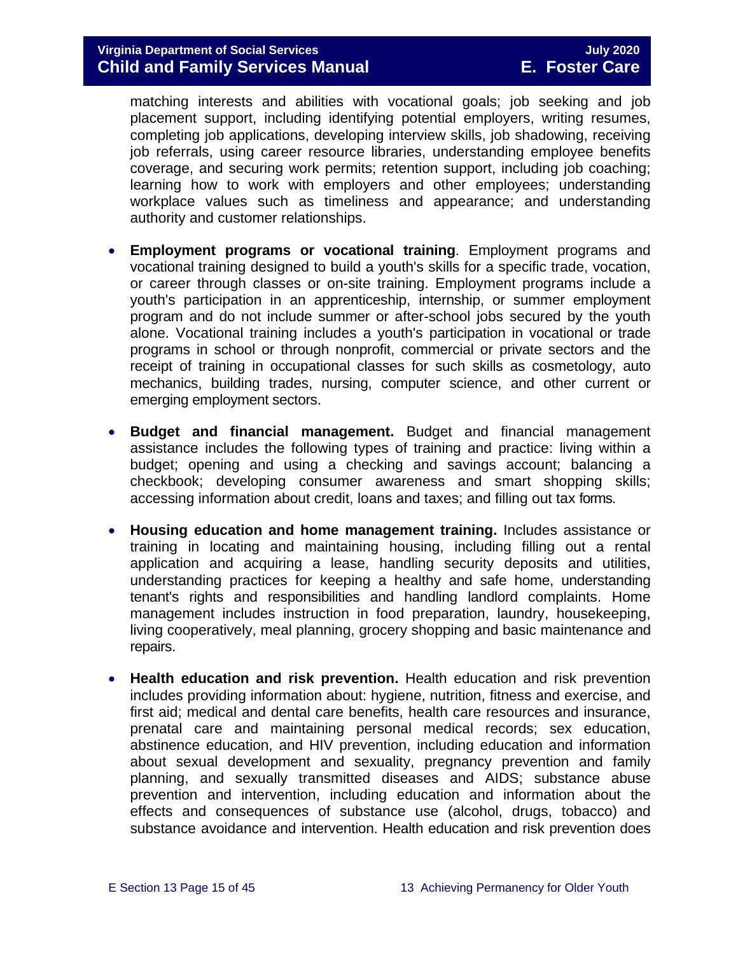matching interests and abilities with vocational goals; job seeking and job placement support, including identifying potential employers, writing resumes, completing job applications, developing interview skills, job shadowing, receiving job referrals, using career resource libraries, understanding employee benefits coverage, and securing work permits; retention support, including job coaching; learning how to work with employers and other employees; understanding workplace values such as timeliness and appearance; and understanding authority and customer relationships.

- **Employment programs or vocational training**. Employment programs and vocational training designed to build a youth's skills for a specific trade, vocation, or career through classes or on-site training. Employment programs include a youth's participation in an apprenticeship, internship, or summer employment program and do not include summer or after-school jobs secured by the youth alone. Vocational training includes a youth's participation in vocational or trade programs in school or through nonprofit, commercial or private sectors and the receipt of training in occupational classes for such skills as cosmetology, auto mechanics, building trades, nursing, computer science, and other current or emerging employment sectors.
- **Budget and financial management.** Budget and financial management assistance includes the following types of training and practice: living within a budget; opening and using a checking and savings account; balancing a checkbook; developing consumer awareness and smart shopping skills; accessing information about credit, loans and taxes; and filling out tax forms.
- **Housing education and home management training.** Includes assistance or training in locating and maintaining housing, including filling out a rental application and acquiring a lease, handling security deposits and utilities, understanding practices for keeping a healthy and safe home, understanding tenant's rights and responsibilities and handling landlord complaints. Home management includes instruction in food preparation, laundry, housekeeping, living cooperatively, meal planning, grocery shopping and basic maintenance and repairs.
- **Health education and risk prevention.** Health education and risk prevention includes providing information about: hygiene, nutrition, fitness and exercise, and first aid; medical and dental care benefits, health care resources and insurance, prenatal care and maintaining personal medical records; sex education, abstinence education, and HIV prevention, including education and information about sexual development and sexuality, pregnancy prevention and family planning, and sexually transmitted diseases and AIDS; substance abuse prevention and intervention, including education and information about the effects and consequences of substance use (alcohol, drugs, tobacco) and substance avoidance and intervention. Health education and risk prevention does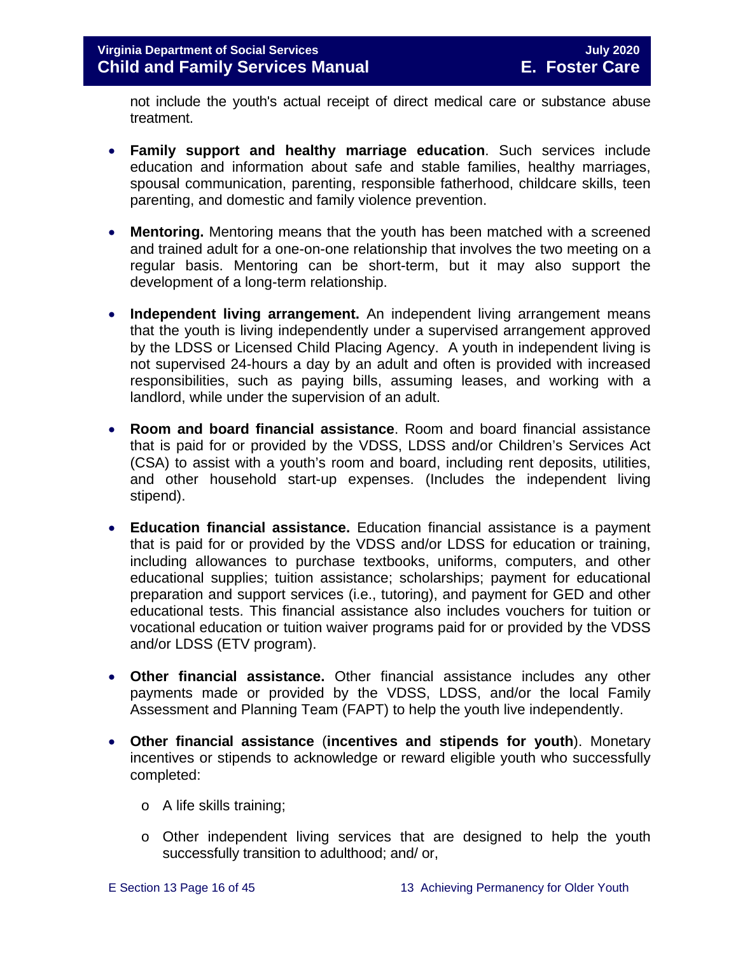not include the youth's actual receipt of direct medical care or substance abuse treatment.

- **Family support and healthy marriage education**. Such services include education and information about safe and stable families, healthy marriages, spousal communication, parenting, responsible fatherhood, childcare skills, teen parenting, and domestic and family violence prevention.
- **Mentoring.** Mentoring means that the youth has been matched with a screened and trained adult for a one-on-one relationship that involves the two meeting on a regular basis. Mentoring can be short-term, but it may also support the development of a long-term relationship.
- **Independent living arrangement.** An independent living arrangement means that the youth is living independently under a supervised arrangement approved by the LDSS or Licensed Child Placing Agency. A youth in independent living is not supervised 24-hours a day by an adult and often is provided with increased responsibilities, such as paying bills, assuming leases, and working with a landlord, while under the supervision of an adult.
- **Room and board financial assistance**. Room and board financial assistance that is paid for or provided by the VDSS, LDSS and/or Children's Services Act (CSA) to assist with a youth's room and board, including rent deposits, utilities, and other household start-up expenses. (Includes the independent living stipend).
- **Education financial assistance.** Education financial assistance is a payment that is paid for or provided by the VDSS and/or LDSS for education or training, including allowances to purchase textbooks, uniforms, computers, and other educational supplies; tuition assistance; scholarships; payment for educational preparation and support services (i.e., tutoring), and payment for GED and other educational tests. This financial assistance also includes vouchers for tuition or vocational education or tuition waiver programs paid for or provided by the VDSS and/or LDSS (ETV program).
- **Other financial assistance.** Other financial assistance includes any other payments made or provided by the VDSS, LDSS, and/or the local Family Assessment and Planning Team (FAPT) to help the youth live independently.
- **Other financial assistance** (**incentives and stipends for youth**). Monetary incentives or stipends to acknowledge or reward eligible youth who successfully completed:
	- o A life skills training;
	- o Other independent living services that are designed to help the youth successfully transition to adulthood; and/ or,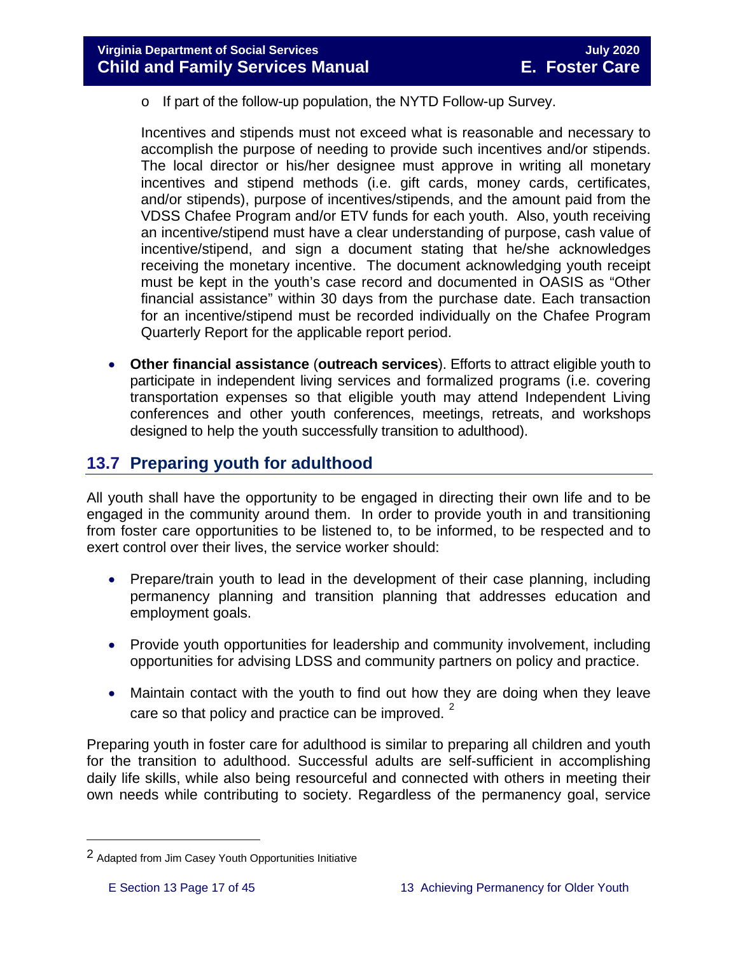o If part of the follow-up population, the NYTD Follow-up Survey.

Incentives and stipends must not exceed what is reasonable and necessary to accomplish the purpose of needing to provide such incentives and/or stipends. The local director or his/her designee must approve in writing all monetary incentives and stipend methods (i.e. gift cards, money cards, certificates, and/or stipends), purpose of incentives/stipends, and the amount paid from the VDSS Chafee Program and/or ETV funds for each youth. Also, youth receiving an incentive/stipend must have a clear understanding of purpose, cash value of incentive/stipend, and sign a document stating that he/she acknowledges receiving the monetary incentive. The document acknowledging youth receipt must be kept in the youth's case record and documented in OASIS as "Other financial assistance" within 30 days from the purchase date. Each transaction for an incentive/stipend must be recorded individually on the Chafee Program Quarterly Report for the applicable report period.

• **Other financial assistance** (**outreach services**). Efforts to attract eligible youth to participate in independent living services and formalized programs (i.e. covering transportation expenses so that eligible youth may attend Independent Living conferences and other youth conferences, meetings, retreats, and workshops designed to help the youth successfully transition to adulthood).

## <span id="page-16-0"></span>**13.7 Preparing youth for adulthood**

All youth shall have the opportunity to be engaged in directing their own life and to be engaged in the community around them. In order to provide youth in and transitioning from foster care opportunities to be listened to, to be informed, to be respected and to exert control over their lives, the service worker should:

- Prepare/train youth to lead in the development of their case planning, including permanency planning and transition planning that addresses education and employment goals.
- Provide youth opportunities for leadership and community involvement, including opportunities for advising LDSS and community partners on policy and practice.
- Maintain contact with the youth to find out how they are doing when they leave care so that policy and practice can be improved.  $2^2$  $2^2$

Preparing youth in foster care for adulthood is similar to preparing all children and youth for the transition to adulthood. Successful adults are self-sufficient in accomplishing daily life skills, while also being resourceful and connected with others in meeting their own needs while contributing to society. Regardless of the permanency goal, service

Ĩ.

<span id="page-16-1"></span><sup>2</sup> Adapted from Jim Casey Youth Opportunities Initiative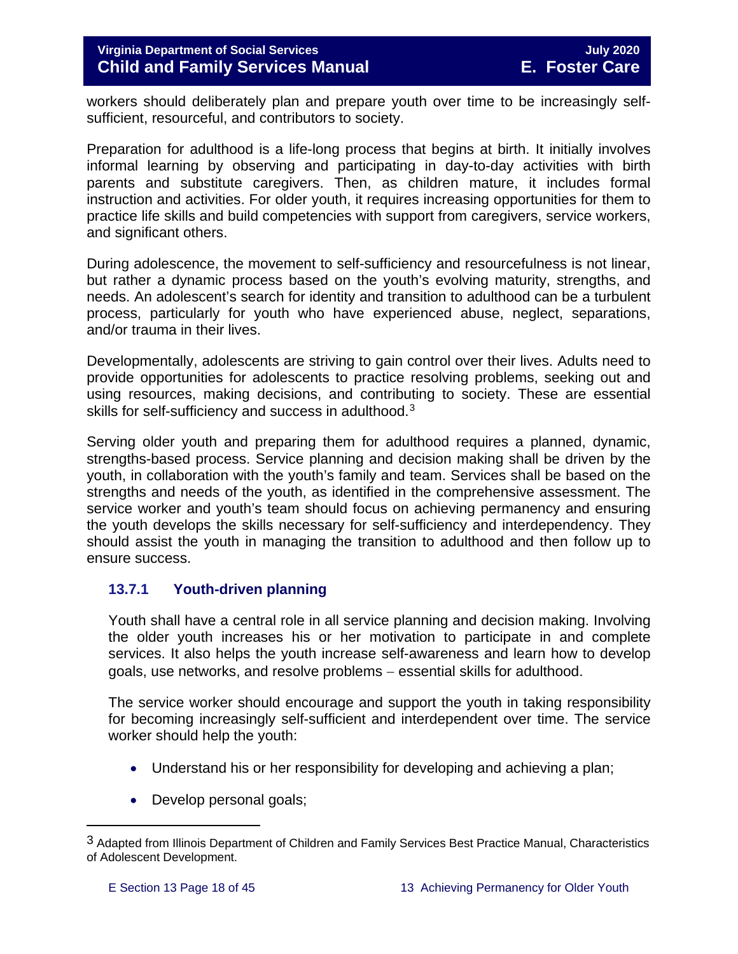workers should deliberately plan and prepare youth over time to be increasingly selfsufficient, resourceful, and contributors to society.

Preparation for adulthood is a life-long process that begins at birth. It initially involves informal learning by observing and participating in day-to-day activities with birth parents and substitute caregivers. Then, as children mature, it includes formal instruction and activities. For older youth, it requires increasing opportunities for them to practice life skills and build competencies with support from caregivers, service workers, and significant others.

During adolescence, the movement to self-sufficiency and resourcefulness is not linear, but rather a dynamic process based on the youth's evolving maturity, strengths, and needs. An adolescent's search for identity and transition to adulthood can be a turbulent process, particularly for youth who have experienced abuse, neglect, separations, and/or trauma in their lives.

Developmentally, adolescents are striving to gain control over their lives. Adults need to provide opportunities for adolescents to practice resolving problems, seeking out and using resources, making decisions, and contributing to society. These are essential skills for self-sufficiency and success in adulthood.<sup>[3](#page-17-1)</sup>

Serving older youth and preparing them for adulthood requires a planned, dynamic, strengths-based process. Service planning and decision making shall be driven by the youth, in collaboration with the youth's family and team. Services shall be based on the strengths and needs of the youth, as identified in the comprehensive assessment. The service worker and youth's team should focus on achieving permanency and ensuring the youth develops the skills necessary for self-sufficiency and interdependency. They should assist the youth in managing the transition to adulthood and then follow up to ensure success.

#### <span id="page-17-0"></span>**13.7.1 Youth-driven planning**

Youth shall have a central role in all service planning and decision making. Involving the older youth increases his or her motivation to participate in and complete services. It also helps the youth increase self-awareness and learn how to develop goals, use networks, and resolve problems − essential skills for adulthood.

The service worker should encourage and support the youth in taking responsibility for becoming increasingly self-sufficient and interdependent over time. The service worker should help the youth:

- Understand his or her responsibility for developing and achieving a plan;
- Develop personal goals;

ī

<span id="page-17-1"></span><sup>3</sup> Adapted from Illinois Department of Children and Family Services Best Practice Manual, Characteristics of Adolescent Development.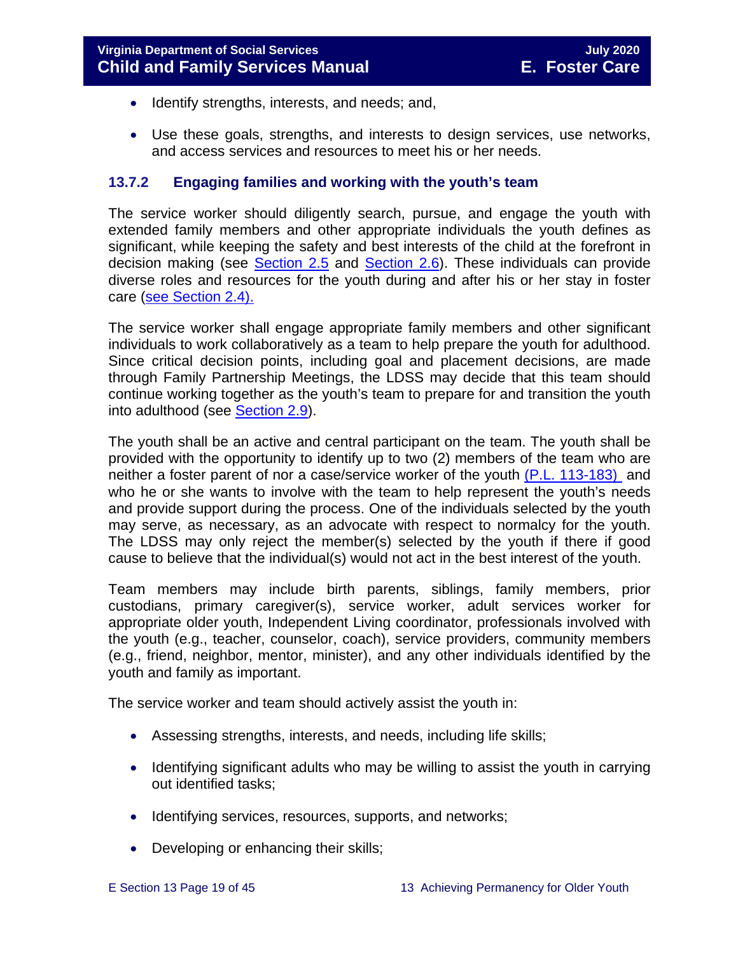- Identify strengths, interests, and needs; and,
- Use these goals, strengths, and interests to design services, use networks, and access services and resources to meet his or her needs.

#### <span id="page-18-0"></span>**13.7.2 Engaging families and working with the youth's team**

The service worker should diligently search, pursue, and engage the youth with extended family members and other appropriate individuals the youth defines as significant, while keeping the safety and best interests of the child at the forefront in decision making (see [Section](https://fusion.dss.virginia.gov/Portals/%5bdfs%5d/Files/DFS%20Manuals/Foster%20Care%20Manuals/Foster%20Care%20Manual%2007-2020/Final%20Foster%20Care%20Manual%2007-2020/section_2_engaging_the_child_family_and_significant_adults.pdf#page=10) 2.5 and [Section](https://fusion.dss.virginia.gov/Portals/%5bdfs%5d/Files/DFS%20Manuals/Foster%20Care%20Manuals/Foster%20Care%20Manual%2007-2020/Final%20Foster%20Care%20Manual%2007-2020/section_2_engaging_the_child_family_and_significant_adults.pdf#page=13) 2.6). These individuals can provide diverse roles and resources for the youth during and after his or her stay in foster care [\(see Section](https://fusion.dss.virginia.gov/Portals/%5bdfs%5d/Files/DFS%20Manuals/Foster%20Care%20Manuals/Foster%20Care%20Manual%2007-2020/Final%20Foster%20Care%20Manual%2007-2020/section_2_engaging_the_child_family_and_significant_adults.pdf#page=8) 2.4).

The service worker shall engage appropriate family members and other significant individuals to work collaboratively as a team to help prepare the youth for adulthood. Since critical decision points, including goal and placement decisions, are made through Family Partnership Meetings, the LDSS may decide that this team should continue working together as the youth's team to prepare for and transition the youth into adulthood (see [Section 2.9\)](https://fusion.dss.virginia.gov/Portals/%5bdfs%5d/Files/DFS%20Manuals/Foster%20Care%20Manuals/Foster%20Care%20Manual%2007-2020/section_2_engaging_the_child_family_and_significant_adults.pdf#page=19).

The youth shall be an active and central participant on the team. The youth shall be provided with the opportunity to identify up to two (2) members of the team who are neither a foster parent of nor a case/service worker of the youth [\(P.L. 113-183\)](https://www.congress.gov/113/plaws/publ183/PLAW-113publ183.pdf) and who he or she wants to involve with the team to help represent the youth's needs and provide support during the process. One of the individuals selected by the youth may serve, as necessary, as an advocate with respect to normalcy for the youth. The LDSS may only reject the member(s) selected by the youth if there if good cause to believe that the individual(s) would not act in the best interest of the youth.

Team members may include birth parents, siblings, family members, prior custodians, primary caregiver(s), service worker, adult services worker for appropriate older youth, Independent Living coordinator, professionals involved with the youth (e.g., teacher, counselor, coach), service providers, community members (e.g., friend, neighbor, mentor, minister), and any other individuals identified by the youth and family as important.

The service worker and team should actively assist the youth in:

- Assessing strengths, interests, and needs, including life skills;
- Identifying significant adults who may be willing to assist the youth in carrying out identified tasks;
- Identifying services, resources, supports, and networks;
- Developing or enhancing their skills;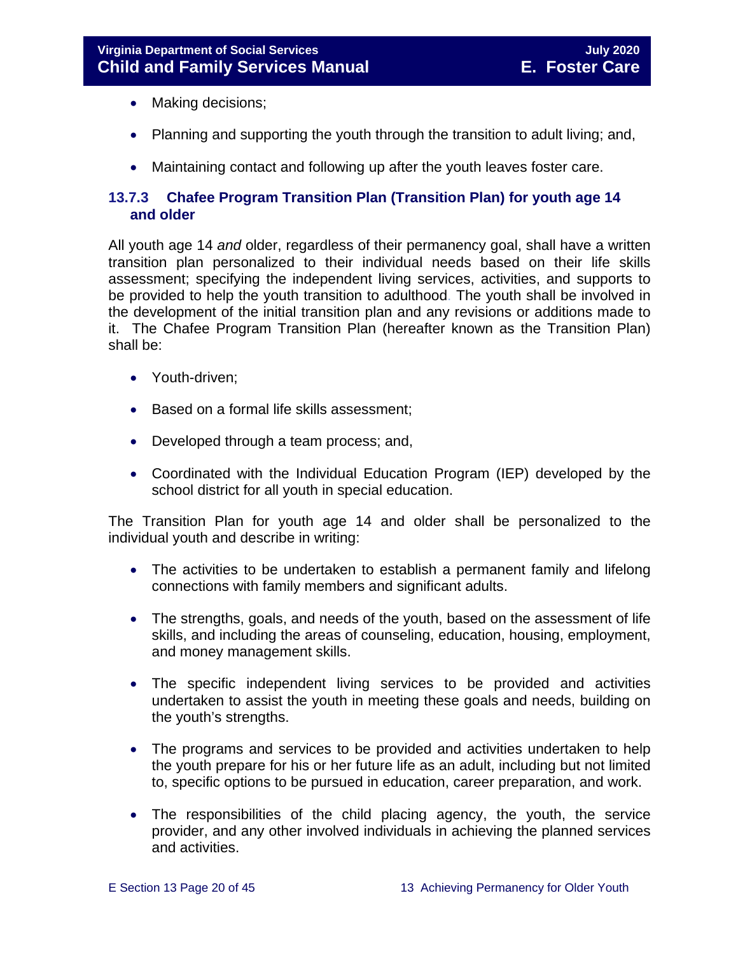- Making decisions;
- Planning and supporting the youth through the transition to adult living; and,
- <span id="page-19-0"></span>• Maintaining contact and following up after the youth leaves foster care.

#### <span id="page-19-1"></span>**13.7.3 Chafee Program Transition Plan (Transition Plan) for youth age 14 and older**

All youth age 14 *and* older, regardless of their permanency goal, shall have a written transition plan personalized to their individual needs based on their life skills assessment; specifying the independent living services, activities, and supports to be provided to help the youth transition to adulthood. The youth shall be involved in the development of the initial transition plan and any revisions or additions made to it. The Chafee Program Transition Plan (hereafter known as the Transition Plan) shall be:

- Youth-driven;
- Based on a formal life skills assessment;
- Developed through a team process; and,
- Coordinated with the Individual Education Program (IEP) developed by the school district for all youth in special education.

The Transition Plan for youth age 14 and older shall be personalized to the individual youth and describe in writing:

- The activities to be undertaken to establish a permanent family and lifelong connections with family members and significant adults.
- The strengths, goals, and needs of the youth, based on the assessment of life skills, and including the areas of counseling, education, housing, employment, and money management skills.
- The specific independent living services to be provided and activities undertaken to assist the youth in meeting these goals and needs, building on the youth's strengths.
- The programs and services to be provided and activities undertaken to help the youth prepare for his or her future life as an adult, including but not limited to, specific options to be pursued in education, career preparation, and work.
- The responsibilities of the child placing agency, the youth, the service provider, and any other involved individuals in achieving the planned services and activities.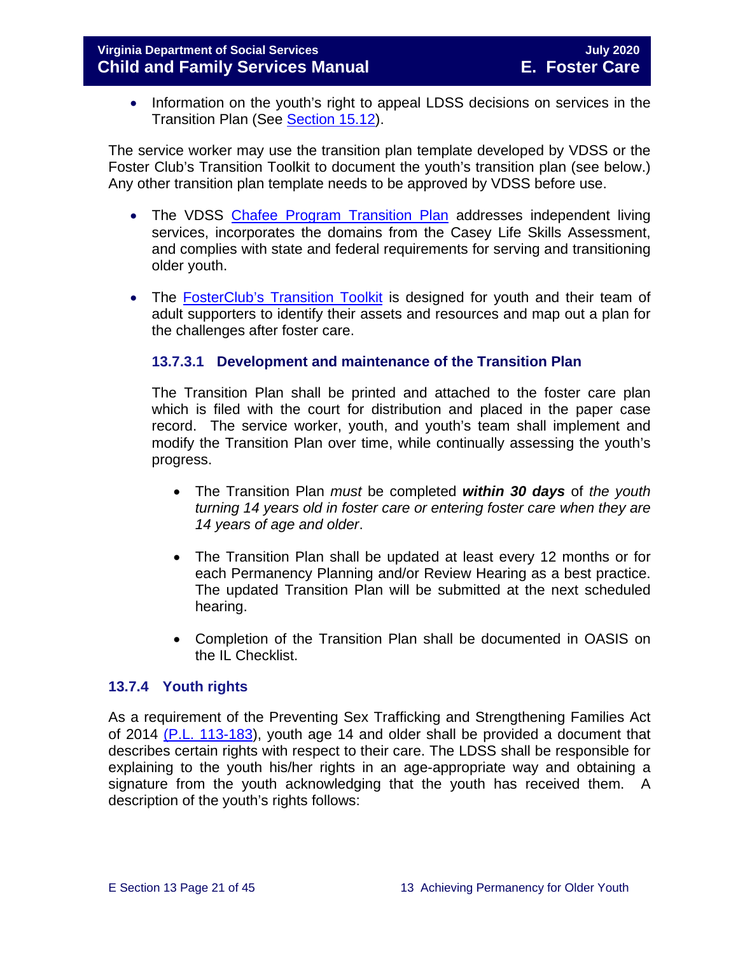• Information on the youth's right to appeal LDSS decisions on services in the Transition Plan (See [Section 15.12\)](https://fusion.dss.virginia.gov/Portals/%5bdfs%5d/Files/DFS%20Manuals/Foster%20Care%20Manuals/Foster%20Care%20Manual%2007-2020/section_15_developing_service_plan.pdf#page=17).

The service worker may use the transition plan template developed by VDSS or the Foster Club's Transition Toolkit to document the youth's transition plan (see below.) Any other transition plan template needs to be approved by VDSS before use.

- The VDSS [Chafee](https://fusion.dss.virginia.gov/Portals/%5Bdfs%5D/Files/DFS%20FORMS/Foster%20Care%20Forms/Independent%20Living%20Transition%20Plan.pdf) Program Transition Plan addresses independent living services, incorporates the domains from the Casey Life Skills Assessment, and complies with state and federal requirements for serving and transitioning older youth.
- The **[FosterClub's Transition Toolkit](https://www.fosterclub.com/_transition/article/transition-toolkit)** is designed for youth and their team of adult supporters to identify their assets and resources and map out a plan for the challenges after foster care.

#### **13.7.3.1 Development and maintenance of the Transition Plan**

The Transition Plan shall be printed and attached to the foster care plan which is filed with the court for distribution and placed in the paper case record. The service worker, youth, and youth's team shall implement and modify the Transition Plan over time, while continually assessing the youth's progress.

- The Transition Plan *must* be completed *within 30 days* of *the youth turning 14 years old in foster care or entering foster care when they are 14 years of age and older*.
- The Transition Plan shall be updated at least every 12 months or for each Permanency Planning and/or Review Hearing as a best practice. The updated Transition Plan will be submitted at the next scheduled hearing.
- Completion of the Transition Plan shall be documented in OASIS on the IL Checklist.

#### <span id="page-20-0"></span>**13.7.4 Youth rights**

As a requirement of the Preventing Sex Trafficking and Strengthening Families Act of 2014 [\(P.L. 113-183\)](https://www.congress.gov/113/plaws/publ183/PLAW-113publ183.pdf), youth age 14 and older shall be provided a document that describes certain rights with respect to their care. The LDSS shall be responsible for explaining to the youth his/her rights in an age-appropriate way and obtaining a signature from the youth acknowledging that the youth has received them. A description of the youth's rights follows: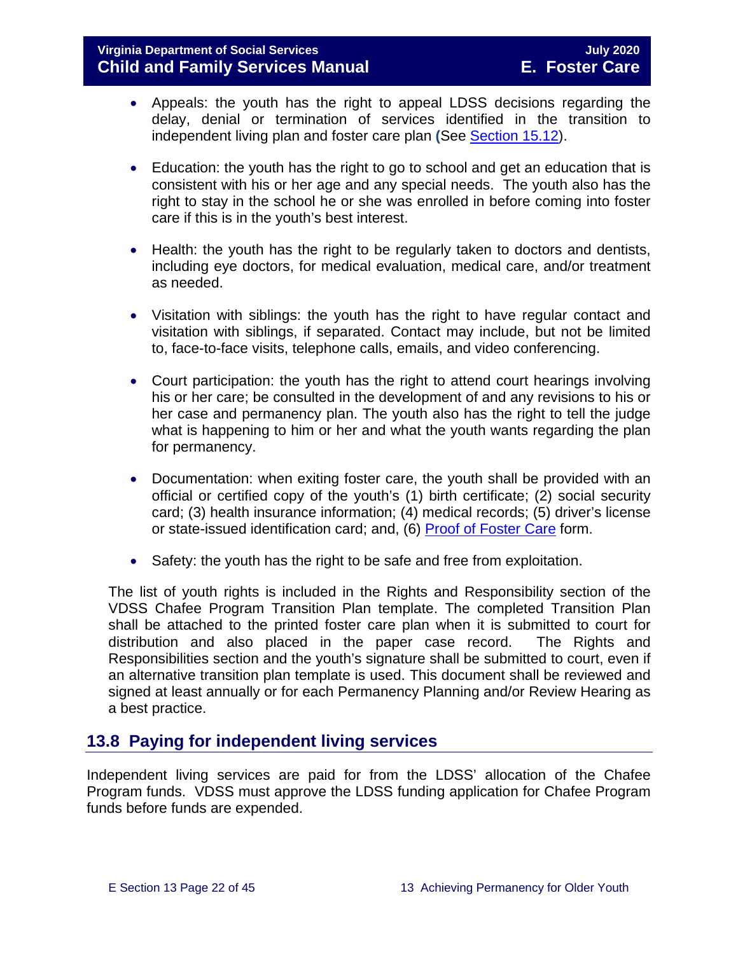#### **Virginia Department of Social Services July 2020 Child and Family Services Manual**

- Appeals: the youth has the right to appeal LDSS decisions regarding the delay, denial or termination of services identified in the transition to independent living plan and foster care plan **(**See [Section 15.12\)](https://fusion.dss.virginia.gov/Portals/%5bdfs%5d/Files/DFS%20Manuals/Foster%20Care%20Manuals/Foster%20Care%20Manual%2007-2020/Final%20Foster%20Care%20Manual%2007-2020/section_15_developing_service_plan.pdf#page=17).
- Education: the youth has the right to go to school and get an education that is consistent with his or her age and any special needs. The youth also has the right to stay in the school he or she was enrolled in before coming into foster care if this is in the youth's best interest.
- Health: the youth has the right to be regularly taken to doctors and dentists, including eye doctors, for medical evaluation, medical care, and/or treatment as needed.
- Visitation with siblings: the youth has the right to have regular contact and visitation with siblings, if separated. Contact may include, but not be limited to, face-to-face visits, telephone calls, emails, and video conferencing.
- Court participation: the youth has the right to attend court hearings involving his or her care; be consulted in the development of and any revisions to his or her case and permanency plan. The youth also has the right to tell the judge what is happening to him or her and what the youth wants regarding the plan for permanency.
- Documentation: when exiting foster care, the youth shall be provided with an official or certified copy of the youth's (1) birth certificate; (2) social security card; (3) health insurance information; (4) medical records; (5) driver's license or state-issued identification card; and, (6) [Proof of Foster Care](https://fusion.dss.virginia.gov/dfs/DFS-Home/Foster-Care/Foster-Care-Forms) form.
- Safety: the youth has the right to be safe and free from exploitation.

The list of youth rights is included in the Rights and Responsibility section of the VDSS Chafee Program Transition Plan template. The completed Transition Plan shall be attached to the printed foster care plan when it is submitted to court for distribution and also placed in the paper case record. The Rights and Responsibilities section and the youth's signature shall be submitted to court, even if an alternative transition plan template is used. This document shall be reviewed and signed at least annually or for each Permanency Planning and/or Review Hearing as a best practice.

## <span id="page-21-0"></span>**13.8 Paying for independent living services**

Independent living services are paid for from the LDSS' allocation of the Chafee Program funds. VDSS must approve the LDSS funding application for Chafee Program funds before funds are expended.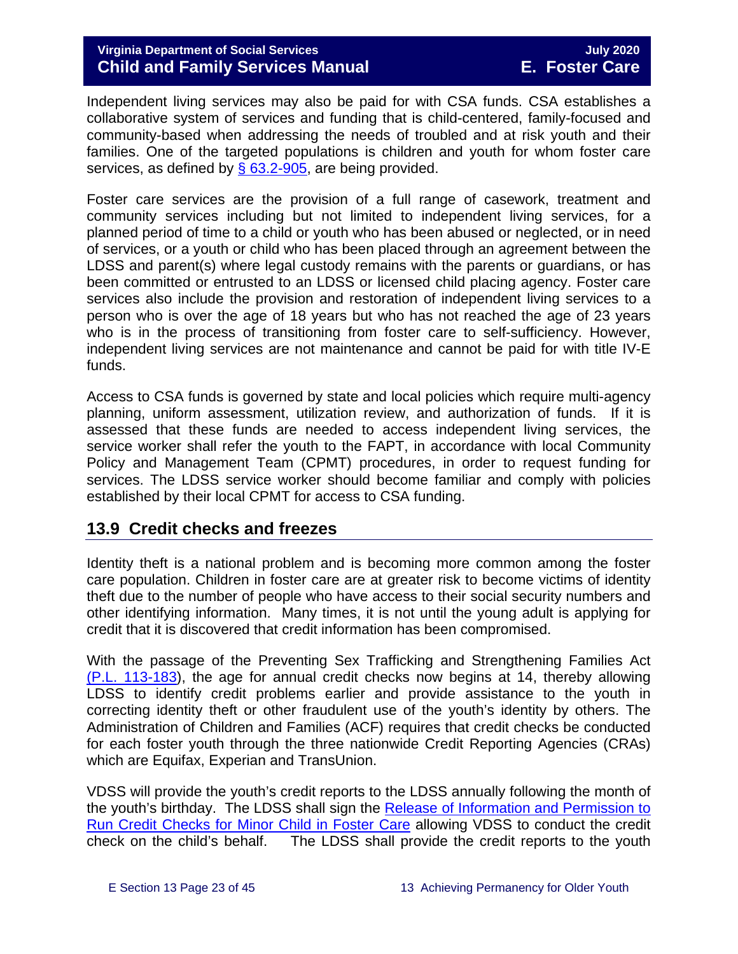Independent living services may also be paid for with CSA funds. CSA establishes a collaborative system of services and funding that is child-centered, family-focused and community-based when addressing the needs of troubled and at risk youth and their families. One of the targeted populations is children and youth for whom foster care services, as defined by  $\S$  63.2-905, are being provided.

Foster care services are the provision of a full range of casework, treatment and community services including but not limited to independent living services, for a planned period of time to a child or youth who has been abused or neglected, or in need of services, or a youth or child who has been placed through an agreement between the LDSS and parent(s) where legal custody remains with the parents or guardians, or has been committed or entrusted to an LDSS or licensed child placing agency. Foster care services also include the provision and restoration of independent living services to a person who is over the age of 18 years but who has not reached the age of 23 years who is in the process of transitioning from foster care to self-sufficiency. However, independent living services are not maintenance and cannot be paid for with title IV-E funds.

Access to CSA funds is governed by state and local policies which require multi-agency planning, uniform assessment, utilization review, and authorization of funds. If it is assessed that these funds are needed to access independent living services, the service worker shall refer the youth to the FAPT, in accordance with local Community Policy and Management Team (CPMT) procedures, in order to request funding for services. The LDSS service worker should become familiar and comply with policies established by their local CPMT for access to CSA funding.

## <span id="page-22-0"></span>**13.9 Credit checks and freezes**

Identity theft is a national problem and is becoming more common among the foster care population. Children in foster care are at greater risk to become victims of identity theft due to the number of people who have access to their social security numbers and other identifying information. Many times, it is not until the young adult is applying for credit that it is discovered that credit information has been compromised.

With the passage of the Preventing Sex Trafficking and Strengthening Families Act [\(P.L. 113-183\)](https://www.congress.gov/113/plaws/publ183/PLAW-113publ183.pdf), the age for annual credit checks now begins at 14, thereby allowing LDSS to identify credit problems earlier and provide assistance to the youth in correcting identity theft or other fraudulent use of the youth's identity by others. The Administration of Children and Families (ACF) requires that credit checks be conducted for each foster youth through the three nationwide Credit Reporting Agencies (CRAs) which are Equifax, Experian and TransUnion.

VDSS will provide the youth's credit reports to the LDSS annually following the month of the youth's birthday. The LDSS shall sign the Release of Information and Permission to [Run Credit Checks for Minor Child in Foster Care](https://fusion.dss.virginia.gov/Portals/%5Bdfs%5D/Files/DFS%20FORMS/Foster%20Care%20Forms/Release%20of%20Information%20%26%20Permission%20to%20Run%20Credit%20Check.pdf) allowing VDSS to conduct the credit check on the child's behalf. The LDSS shall provide the credit reports to the youth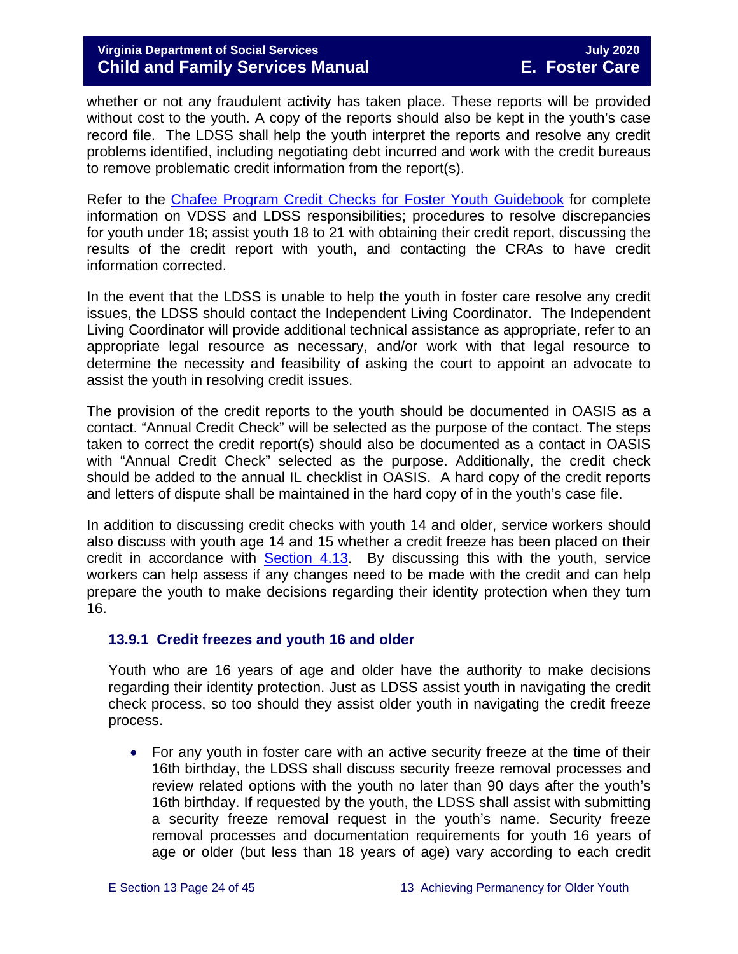whether or not any fraudulent activity has taken place. These reports will be provided without cost to the youth. A copy of the reports should also be kept in the youth's case record file. The LDSS shall help the youth interpret the reports and resolve any credit problems identified, including negotiating debt incurred and work with the credit bureaus to remove problematic credit information from the report(s).

Refer to the [Chafee Program Credit Checks for Foster](https://fusion.dss.virginia.gov/Portals/%5Bdfs%5D/Files/Foster%20Care/Job%20Aids%20%26%20Resources/Credit_Checks_Guidebook_.pdf) Youth Guidebook for complete information on VDSS and LDSS responsibilities; procedures to resolve discrepancies for youth under 18; assist youth 18 to 21 with obtaining their credit report, discussing the results of the credit report with youth, and contacting the CRAs to have credit information corrected.

In the event that the LDSS is unable to help the youth in foster care resolve any credit issues, the LDSS should contact the Independent Living Coordinator. The Independent Living Coordinator will provide additional technical assistance as appropriate, refer to an appropriate legal resource as necessary, and/or work with that legal resource to determine the necessity and feasibility of asking the court to appoint an advocate to assist the youth in resolving credit issues.

The provision of the credit reports to the youth should be documented in OASIS as a contact. "Annual Credit Check" will be selected as the purpose of the contact. The steps taken to correct the credit report(s) should also be documented as a contact in OASIS with "Annual Credit Check" selected as the purpose. Additionally, the credit check should be added to the annual IL checklist in OASIS. A hard copy of the credit reports and letters of dispute shall be maintained in the hard copy of in the youth's case file.

In addition to discussing credit checks with youth 14 and older, service workers should also discuss with youth age 14 and 15 whether a credit freeze has been placed on their credit in accordance with [Section 4.13.](https://fusion.dss.virginia.gov/Portals/%5bdfs%5d/Files/DFS%20Manuals/Foster%20Care%20Manuals/Foster%20Care%20Manual%2007-2020/Final%20Foster%20Care%20Manual%2007-2020/section_4_opening_and_maintaining_case.pdf#page=27) By discussing this with the youth, service workers can help assess if any changes need to be made with the credit and can help prepare the youth to make decisions regarding their identity protection when they turn 16.

#### <span id="page-23-0"></span>**13.9.1 Credit freezes and youth 16 and older**

Youth who are 16 years of age and older have the authority to make decisions regarding their identity protection. Just as LDSS assist youth in navigating the credit check process, so too should they assist older youth in navigating the credit freeze process.

• For any youth in foster care with an active security freeze at the time of their 16th birthday, the LDSS shall discuss security freeze removal processes and review related options with the youth no later than 90 days after the youth's 16th birthday. If requested by the youth, the LDSS shall assist with submitting a security freeze removal request in the youth's name. Security freeze removal processes and documentation requirements for youth 16 years of age or older (but less than 18 years of age) vary according to each credit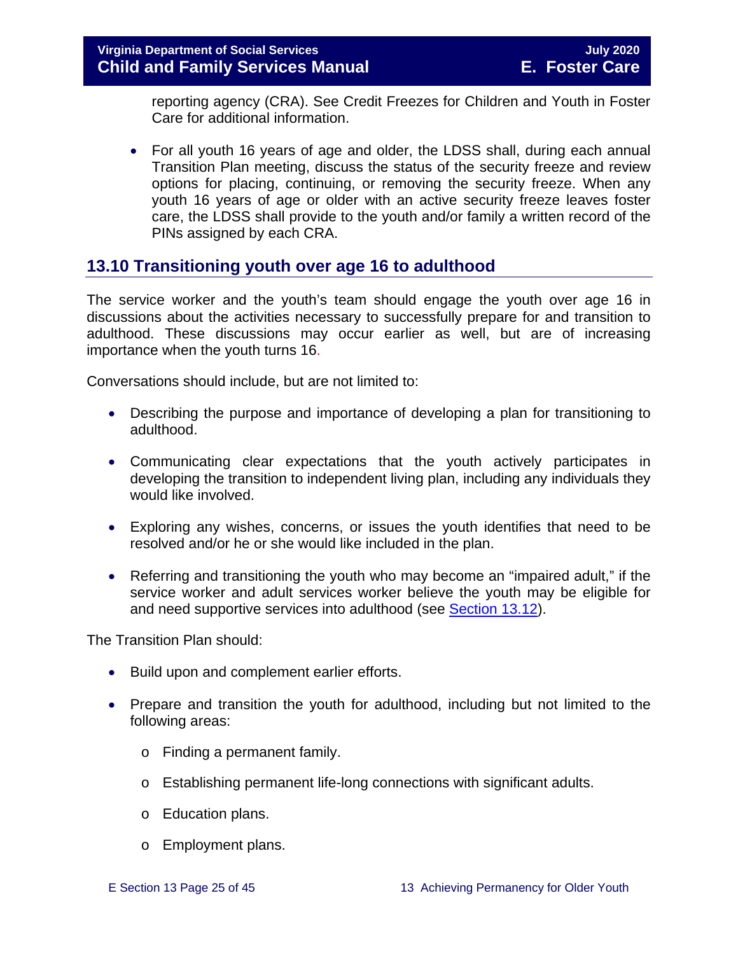reporting agency (CRA). See Credit Freezes for Children and Youth in Foster Care for additional information.

• For all youth 16 years of age and older, the LDSS shall, during each annual Transition Plan meeting, discuss the status of the security freeze and review options for placing, continuing, or removing the security freeze. When any youth 16 years of age or older with an active security freeze leaves foster care, the LDSS shall provide to the youth and/or family a written record of the PINs assigned by each CRA.

## <span id="page-24-0"></span>**13.10 Transitioning youth over age 16 to adulthood**

The service worker and the youth's team should engage the youth over age 16 in discussions about the activities necessary to successfully prepare for and transition to adulthood. These discussions may occur earlier as well, but are of increasing importance when the youth turns 16.

Conversations should include, but are not limited to:

- Describing the purpose and importance of developing a plan for transitioning to adulthood.
- Communicating clear expectations that the youth actively participates in developing the transition to independent living plan, including any individuals they would like involved.
- Exploring any wishes, concerns, or issues the youth identifies that need to be resolved and/or he or she would like included in the plan.
- Referring and transitioning the youth who may become an "impaired adult," if the service worker and adult services worker believe the youth may be eligible for and need supportive services into adulthood (see [Section 13.12\)](#page-30-0).

The Transition Plan should:

- Build upon and complement earlier efforts.
- Prepare and transition the youth for adulthood, including but not limited to the following areas:
	- o Finding a permanent family.
	- o Establishing permanent life-long connections with significant adults.
	- o Education plans.
	- o Employment plans.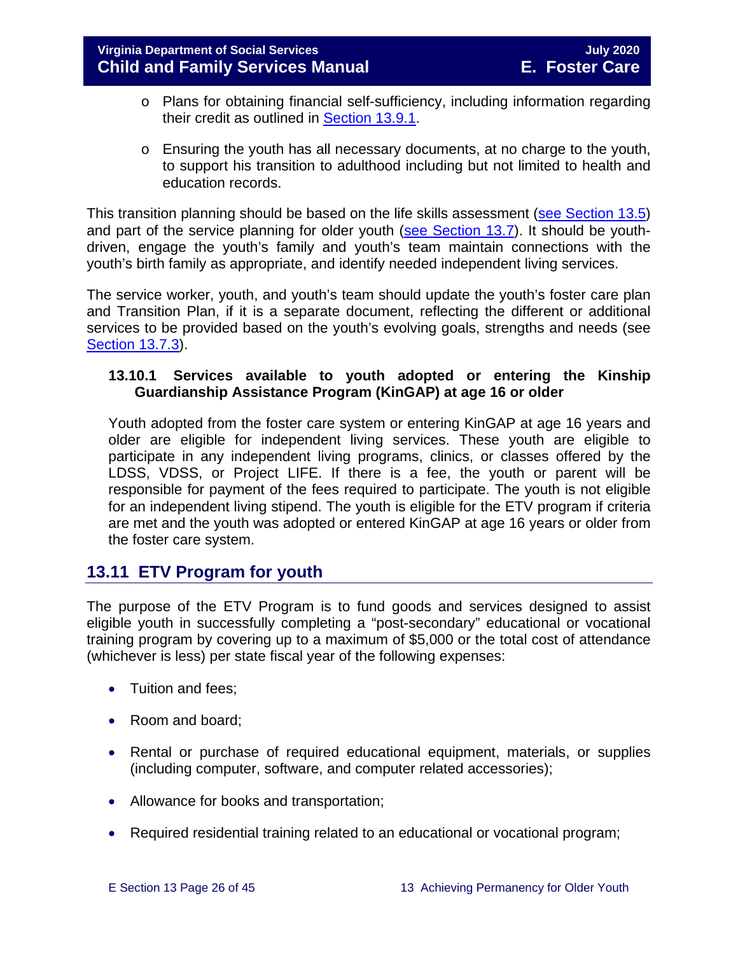- o Plans for obtaining financial self-sufficiency, including information regarding their credit as outlined in [Section 13.9.1.](#page-23-0)
- o Ensuring the youth has all necessary documents, at no charge to the youth, to support his transition to adulthood including but not limited to health and education records.

This transition planning should be based on the life skills assessment (see [Section 13.5\)](#page-10-1) and part of the service planning for older youth [\(see Section 13.7\)](#page-16-0). It should be youthdriven, engage the youth's family and youth's team maintain connections with the youth's birth family as appropriate, and identify needed independent living services.

The service worker, youth, and youth's team should update the youth's foster care plan and Transition Plan, if it is a separate document, reflecting the different or additional services to be provided based on the youth's evolving goals, strengths and needs (see [Section 13.7.3\)](#page-19-1).

#### **13.10.1 Services available to youth adopted or entering the Kinship Guardianship Assistance Program (KinGAP) at age 16 or older**

Youth adopted from the foster care system or entering KinGAP at age 16 years and older are eligible for independent living services. These youth are eligible to participate in any independent living programs, clinics, or classes offered by the LDSS, VDSS, or Project LIFE. If there is a fee, the youth or parent will be responsible for payment of the fees required to participate. The youth is not eligible for an independent living stipend. The youth is eligible for the ETV program if criteria are met and the youth was adopted or entered KinGAP at age 16 years or older from the foster care system.

## <span id="page-25-0"></span>**13.11 ETV Program for youth**

The purpose of the ETV Program is to fund goods and services designed to assist eligible youth in successfully completing a "post-secondary" educational or vocational training program by covering up to a maximum of \$5,000 or the total cost of attendance (whichever is less) per state fiscal year of the following expenses:

- Tuition and fees:
- Room and board;
- Rental or purchase of required educational equipment, materials, or supplies (including computer, software, and computer related accessories);
- Allowance for books and transportation;
- Required residential training related to an educational or vocational program;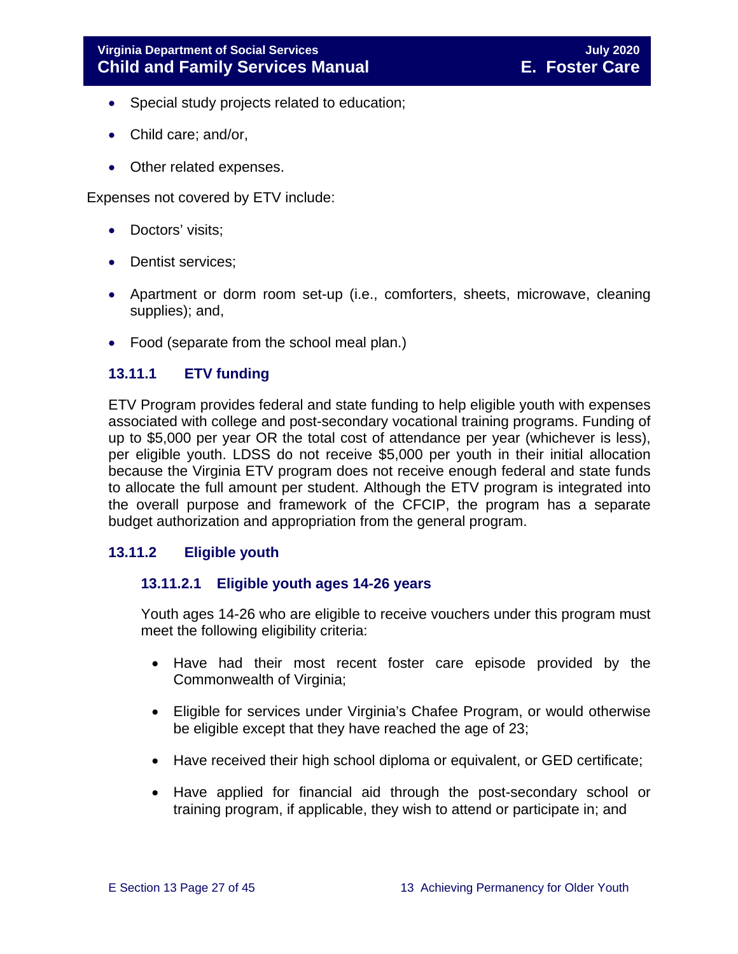- Special study projects related to education;
- Child care; and/or,
- Other related expenses.

Expenses not covered by ETV include:

- Doctors' visits;
- Dentist services:
- Apartment or dorm room set-up (i.e., comforters, sheets, microwave, cleaning supplies); and,
- Food (separate from the school meal plan.)

#### <span id="page-26-0"></span>**13.11.1 ETV funding**

ETV Program provides federal and state funding to help eligible youth with expenses associated with college and post-secondary vocational training programs. Funding of up to \$5,000 per year OR the total cost of attendance per year (whichever is less), per eligible youth. LDSS do not receive \$5,000 per youth in their initial allocation because the Virginia ETV program does not receive enough federal and state funds to allocate the full amount per student. Although the ETV program is integrated into the overall purpose and framework of the CFCIP, the program has a separate budget authorization and appropriation from the general program.

#### <span id="page-26-1"></span>**13.11.2 Eligible youth**

#### **13.11.2.1 Eligible youth ages 14-26 years**

Youth ages 14-26 who are eligible to receive vouchers under this program must meet the following eligibility criteria:

- Have had their most recent foster care episode provided by the Commonwealth of Virginia;
- Eligible for services under Virginia's Chafee Program, or would otherwise be eligible except that they have reached the age of 23;
- Have received their high school diploma or equivalent, or GED certificate;
- Have applied for financial aid through the post-secondary school or training program, if applicable, they wish to attend or participate in; and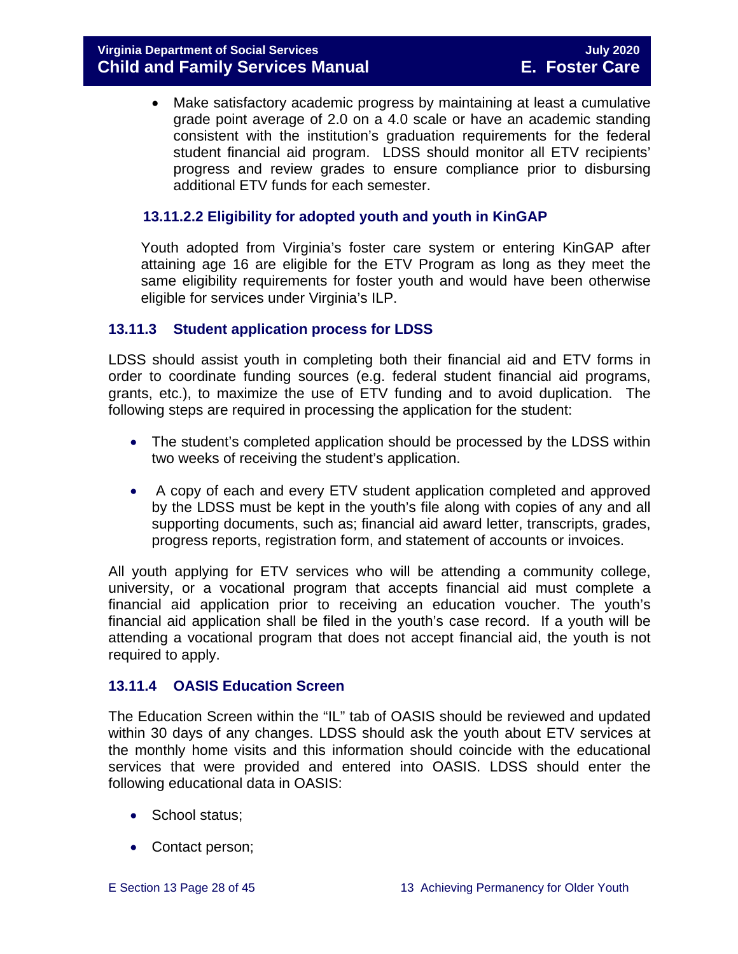• Make satisfactory academic progress by maintaining at least a cumulative grade point average of 2.0 on a 4.0 scale or have an academic standing consistent with the institution's graduation requirements for the federal student financial aid program. LDSS should monitor all ETV recipients' progress and review grades to ensure compliance prior to disbursing additional ETV funds for each semester.

#### **13.11.2.2 Eligibility for adopted youth and youth in KinGAP**

Youth adopted from Virginia's foster care system or entering KinGAP after attaining age 16 are eligible for the ETV Program as long as they meet the same eligibility requirements for foster youth and would have been otherwise eligible for services under Virginia's ILP.

#### <span id="page-27-0"></span>**13.11.3 Student application process for LDSS**

LDSS should assist youth in completing both their financial aid and ETV forms in order to coordinate funding sources (e.g. federal student financial aid programs, grants, etc.), to maximize the use of ETV funding and to avoid duplication. The following steps are required in processing the application for the student:

- The student's completed application should be processed by the LDSS within two weeks of receiving the student's application.
- A copy of each and every ETV student application completed and approved by the LDSS must be kept in the youth's file along with copies of any and all supporting documents, such as; financial aid award letter, transcripts, grades, progress reports, registration form, and statement of accounts or invoices.

All youth applying for ETV services who will be attending a community college, university, or a vocational program that accepts financial aid must complete a financial aid application prior to receiving an education voucher. The youth's financial aid application shall be filed in the youth's case record. If a youth will be attending a vocational program that does not accept financial aid, the youth is not required to apply.

#### <span id="page-27-1"></span>**13.11.4 OASIS Education Screen**

The Education Screen within the "IL" tab of OASIS should be reviewed and updated within 30 days of any changes. LDSS should ask the youth about ETV services at the monthly home visits and this information should coincide with the educational services that were provided and entered into OASIS. LDSS should enter the following educational data in OASIS:

- School status;
- Contact person;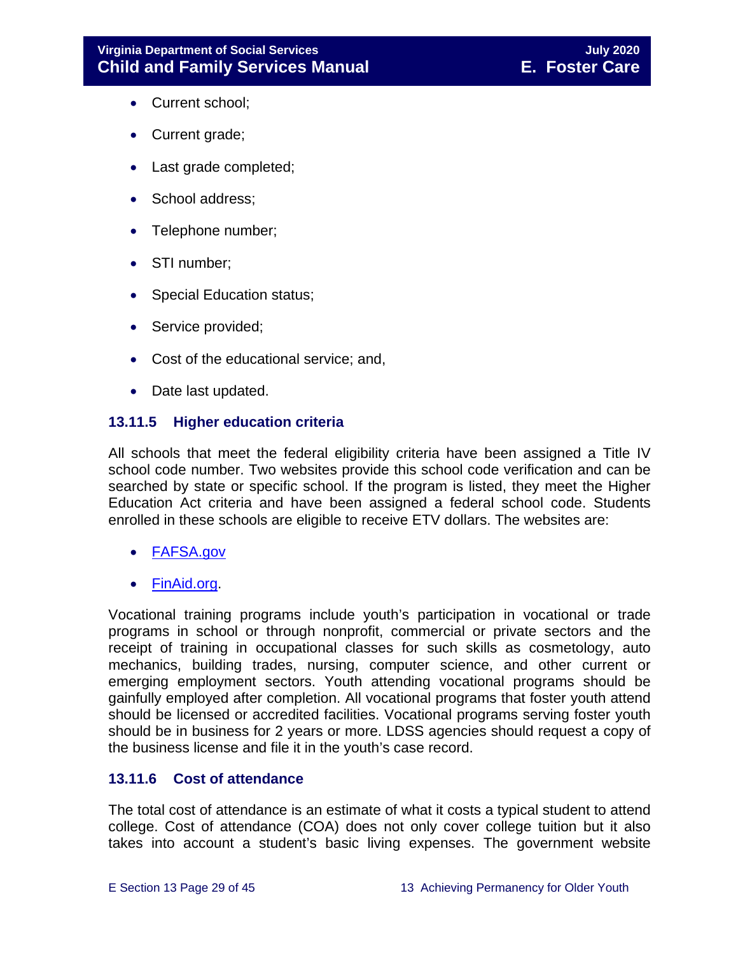- Current school;
- Current grade;
- Last grade completed;
- School address;
- Telephone number;
- STI number;
- Special Education status;
- Service provided;
- Cost of the educational service; and,
- Date last updated.

#### <span id="page-28-0"></span>**13.11.5 Higher education criteria**

All schools that meet the federal eligibility criteria have been assigned a Title IV school code number. Two websites provide this school code verification and can be searched by state or specific school. If the program is listed, they meet the Higher Education Act criteria and have been assigned a federal school code. Students enrolled in these schools are eligible to receive ETV dollars. The websites are:

- [FAFSA.gov](https://fafsa.ed.gov/FAFSA/app/schoolSearch?locale=en_EN)
- [FinAid.org.](http://www.finaid.org/)

Vocational training programs include youth's participation in vocational or trade programs in school or through nonprofit, commercial or private sectors and the receipt of training in occupational classes for such skills as cosmetology, auto mechanics, building trades, nursing, computer science, and other current or emerging employment sectors. Youth attending vocational programs should be gainfully employed after completion. All vocational programs that foster youth attend should be licensed or accredited facilities. Vocational programs serving foster youth should be in business for 2 years or more. LDSS agencies should request a copy of the business license and file it in the youth's case record.

#### <span id="page-28-1"></span>**13.11.6 Cost of attendance**

The total cost of attendance is an estimate of what it costs a typical student to attend college. Cost of attendance (COA) does not only cover college tuition but it also takes into account a student's basic living expenses. The government website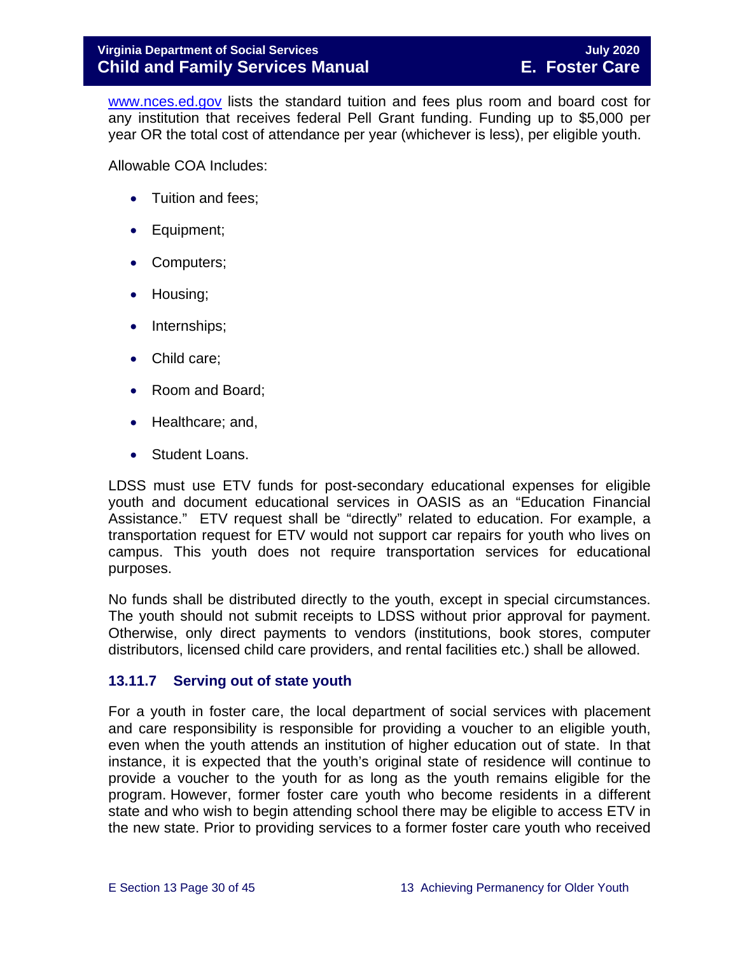[www.nces.ed.gov](http://nces.ed.gov/) lists the standard tuition and fees plus room and board cost for any institution that receives federal Pell Grant funding. Funding up to \$5,000 per year OR the total cost of attendance per year (whichever is less), per eligible youth.

Allowable COA Includes:

- Tuition and fees;
- Equipment;
- Computers;
- Housing;
- Internships;
- Child care;
- Room and Board;
- Healthcare; and,
- Student Loans.

LDSS must use ETV funds for post-secondary educational expenses for eligible youth and document educational services in OASIS as an "Education Financial Assistance." ETV request shall be "directly" related to education. For example, a transportation request for ETV would not support car repairs for youth who lives on campus. This youth does not require transportation services for educational purposes.

No funds shall be distributed directly to the youth, except in special circumstances. The youth should not submit receipts to LDSS without prior approval for payment. Otherwise, only direct payments to vendors (institutions, book stores, computer distributors, licensed child care providers, and rental facilities etc.) shall be allowed.

#### <span id="page-29-0"></span>**13.11.7 Serving out of state youth**

For a youth in foster care, the local department of social services with placement and care responsibility is responsible for providing a voucher to an eligible youth, even when the youth attends an institution of higher education out of state. In that instance, it is expected that the youth's original state of residence will continue to provide a voucher to the youth for as long as the youth remains eligible for the program. However, former foster care youth who become residents in a different state and who wish to begin attending school there may be eligible to access ETV in the new state. Prior to providing services to a former foster care youth who received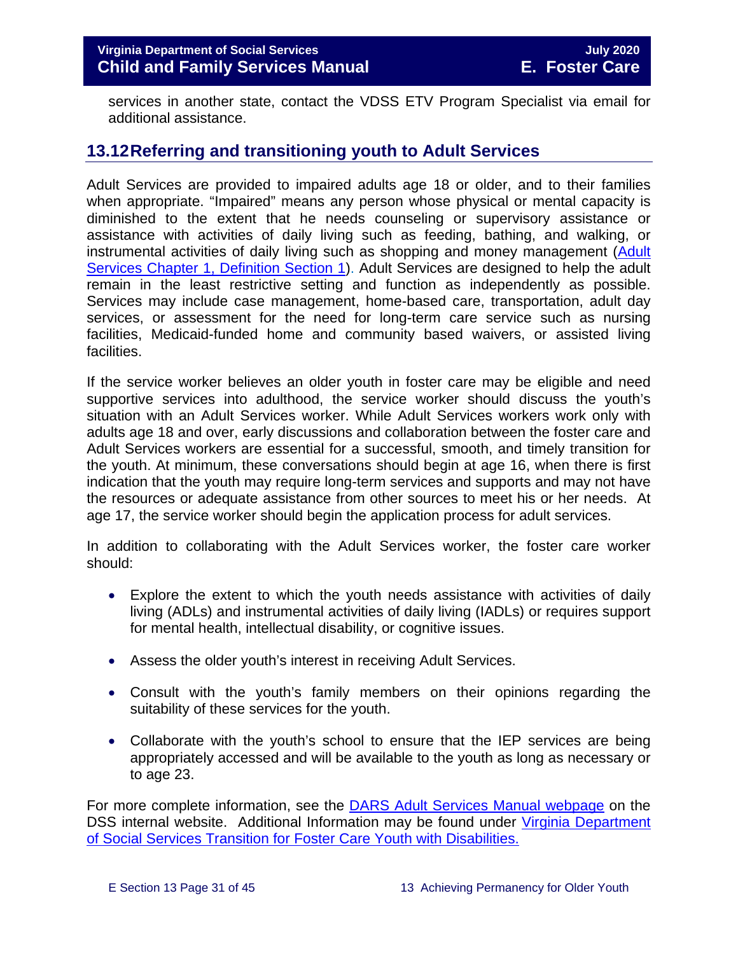services in another state, contact the VDSS ETV Program Specialist via email for additional assistance.

## <span id="page-30-0"></span>**13.12Referring and transitioning youth to Adult Services**

Adult Services are provided to impaired adults age 18 or older, and to their families when appropriate. "Impaired" means any person whose physical or mental capacity is diminished to the extent that he needs counseling or supervisory assistance or assistance with activities of daily living such as feeding, bathing, and walking, or instrumental activities of daily living such as shopping and money management (Adult [Services Chapter 1, Definition Section 1\)](http://www.dss.virginia.gov/files/division/dfs/as/as_intro_page/manuals/as/chapter_1_introduction_2016.pdf). Adult Services are designed to help the adult remain in the least restrictive setting and function as independently as possible. Services may include case management, home-based care, transportation, adult day services, or assessment for the need for long-term care service such as nursing facilities, Medicaid-funded home and community based waivers, or assisted living facilities.

If the service worker believes an older youth in foster care may be eligible and need supportive services into adulthood, the service worker should discuss the youth's situation with an Adult Services worker. While Adult Services workers work only with adults age 18 and over, early discussions and collaboration between the foster care and Adult Services workers are essential for a successful, smooth, and timely transition for the youth. At minimum, these conversations should begin at age 16, when there is first indication that the youth may require long-term services and supports and may not have the resources or adequate assistance from other sources to meet his or her needs. At age 17, the service worker should begin the application process for adult services.

In addition to collaborating with the Adult Services worker, the foster care worker should:

- Explore the extent to which the youth needs assistance with activities of daily living (ADLs) and instrumental activities of daily living (IADLs) or requires support for mental health, intellectual disability, or cognitive issues.
- Assess the older youth's interest in receiving Adult Services.
- Consult with the youth's family members on their opinions regarding the suitability of these services for the youth.
- Collaborate with the youth's school to ensure that the IEP services are being appropriately accessed and will be available to the youth as long as necessary or to age 23.

For more complete information, see the [DARS Adult Services Manual webpage](https://fusion.dss.virginia.gov/dars/DARS-Home/ADULT-SERVICES/Adult-Services-Manuals) on the DSS internal website. Additional Information may be found under [Virginia Department](https://fusion.dss.virginia.gov/Portals/%5Bdfs%5D/Files/Foster%20Care/Job%20Aids%20%26%20Resources/Strategies%20to%20Support%20A%20Successful%20Transition%20for%20Youth%20with%20Disabilities%20in%20Foster%20Care.pdf)  [of Social Services Transition](https://fusion.dss.virginia.gov/Portals/%5Bdfs%5D/Files/Foster%20Care/Job%20Aids%20%26%20Resources/Strategies%20to%20Support%20A%20Successful%20Transition%20for%20Youth%20with%20Disabilities%20in%20Foster%20Care.pdf) for Foster Care Youth with Disabilities.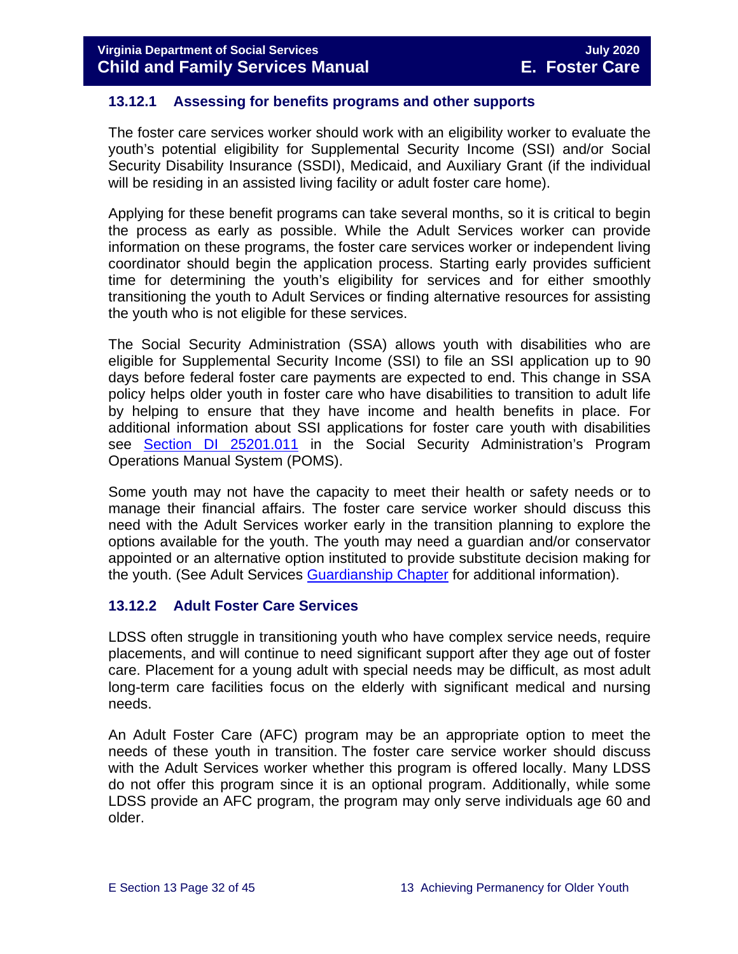#### <span id="page-31-0"></span>**13.12.1 Assessing for benefits programs and other supports**

The foster care services worker should work with an eligibility worker to evaluate the youth's potential eligibility for Supplemental Security Income (SSI) and/or Social Security Disability Insurance (SSDI), Medicaid, and Auxiliary Grant (if the individual will be residing in an assisted living facility or adult foster care home).

Applying for these benefit programs can take several months, so it is critical to begin the process as early as possible. While the Adult Services worker can provide information on these programs, the foster care services worker or independent living coordinator should begin the application process. Starting early provides sufficient time for determining the youth's eligibility for services and for either smoothly transitioning the youth to Adult Services or finding alternative resources for assisting the youth who is not eligible for these services.

The Social Security Administration (SSA) allows youth with disabilities who are eligible for Supplemental Security Income (SSI) to file an SSI application up to 90 days before federal foster care payments are expected to end. This change in SSA policy helps older youth in foster care who have disabilities to transition to adult life by helping to ensure that they have income and health benefits in place. For additional information about SSI applications for foster care youth with disabilities see [Section DI 25201.011](https://secure.ssa.gov/apps10/poms.nsf/subchapterlist!openview&restricttocategory=04252) in the Social Security Administration's Program Operations Manual System (POMS).

Some youth may not have the capacity to meet their health or safety needs or to manage their financial affairs. The foster care service worker should discuss this need with the Adult Services worker early in the transition planning to explore the options available for the youth. The youth may need a guardian and/or conservator appointed or an alternative option instituted to provide substitute decision making for the youth. (See Adult Services [Guardianship Chapter](https://fusion.dss.virginia.gov/Portals/%5Bdars%5D/Files/Chapter%207-Guardianship.pdf) for additional information).

#### <span id="page-31-1"></span>**13.12.2 Adult Foster Care Services**

LDSS often struggle in transitioning youth who have complex service needs, require placements, and will continue to need significant support after they age out of foster care. Placement for a young adult with special needs may be difficult, as most adult long-term care facilities focus on the elderly with significant medical and nursing needs.

An Adult Foster Care (AFC) program may be an appropriate option to meet the needs of these youth in transition. The foster care service worker should discuss with the Adult Services worker whether this program is offered locally. Many LDSS do not offer this program since it is an optional program. Additionally, while some LDSS provide an AFC program, the program may only serve individuals age 60 and older.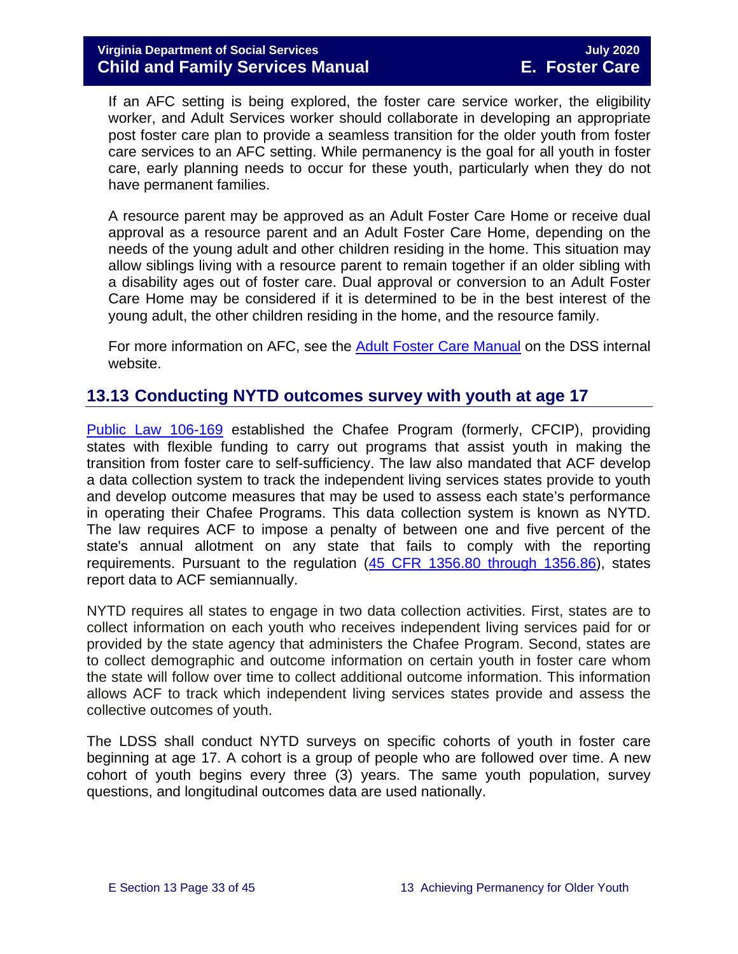If an AFC setting is being explored, the foster care service worker, the eligibility worker, and Adult Services worker should collaborate in developing an appropriate post foster care plan to provide a seamless transition for the older youth from foster care services to an AFC setting. While permanency is the goal for all youth in foster care, early planning needs to occur for these youth, particularly when they do not have permanent families.

A resource parent may be approved as an Adult Foster Care Home or receive dual approval as a resource parent and an Adult Foster Care Home, depending on the needs of the young adult and other children residing in the home. This situation may allow siblings living with a resource parent to remain together if an older sibling with a disability ages out of foster care. Dual approval or conversion to an Adult Foster Care Home may be considered if it is determined to be in the best interest of the young adult, the other children residing in the home, and the resource family.

For more information on AFC, see the [Adult Foster Care Manual](https://fusion.dss.virginia.gov/Portals/%5Bdars%5D/Files/Chapter%204-Long-term%20Care%20Services.pdf#page=13) on the DSS internal website.

## <span id="page-32-0"></span>**13.13 Conducting NYTD outcomes survey with youth at age 17**

[Public Law](https://www.gpo.gov/fdsys/pkg/PLAW-106publ169/pdf/PLAW-106publ169.pdf) 106-169 established the Chafee Program (formerly, CFCIP), providing states with flexible funding to carry out programs that assist youth in making the transition from foster care to self-sufficiency. The law also mandated that ACF develop a data collection system to track the independent living services states provide to youth and develop outcome measures that may be used to assess each state's performance in operating their Chafee Programs. This data collection system is known as NYTD. The law requires ACF to impose a penalty of between one and five percent of the state's annual allotment on any state that fails to comply with the reporting requirements. Pursuant to the regulation [\(45 CFR 1356.80 through 1356.86\)](http://www.ecfr.gov/cgi-bin/retrieveECFR?gp=1&SID=3d9be8b33d08994a45cff8aaff9f9476&ty=HTML&h=L&mc=true&r=PART&n=pt45.4.1356), states report data to ACF semiannually.

NYTD requires all states to engage in two data collection activities. First, states are to collect information on each youth who receives independent living services paid for or provided by the state agency that administers the Chafee Program. Second, states are to collect demographic and outcome information on certain youth in foster care whom the state will follow over time to collect additional outcome information. This information allows ACF to track which independent living services states provide and assess the collective outcomes of youth.

The LDSS shall conduct NYTD surveys on specific cohorts of youth in foster care beginning at age 17. A cohort is a group of people who are followed over time. A new cohort of youth begins every three (3) years. The same youth population, survey questions, and longitudinal outcomes data are used nationally.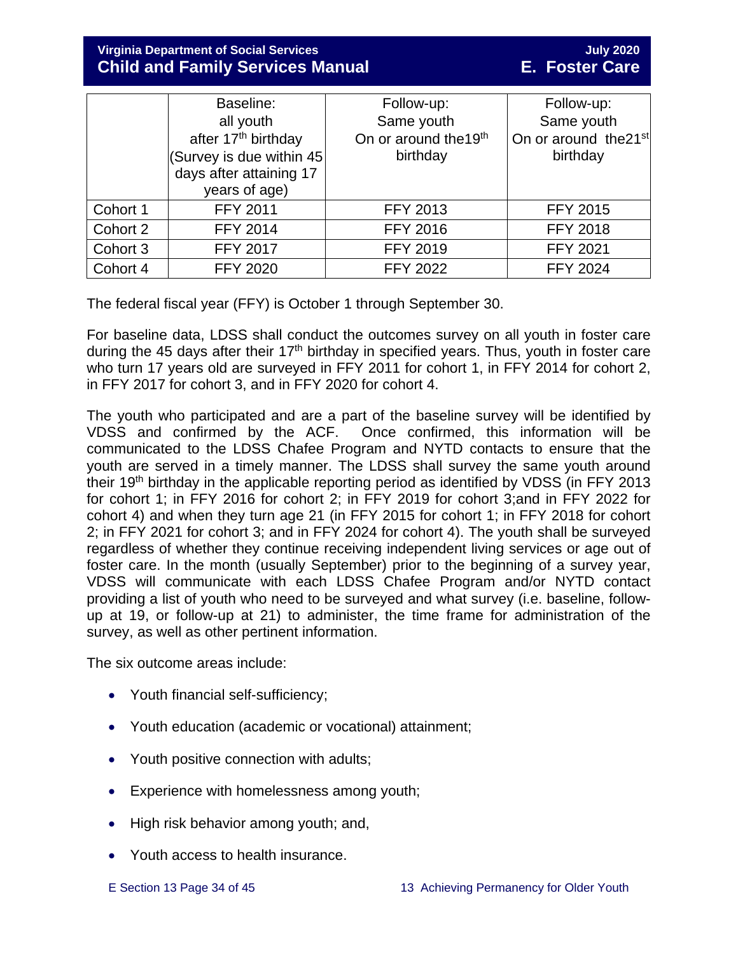**Virginia Department of Social Services July 2020 Child and Family Services Manual** 

|          | Baseline:                                | Follow-up:                        | Follow-up:                        |
|----------|------------------------------------------|-----------------------------------|-----------------------------------|
|          | all youth                                | Same youth                        | Same youth                        |
|          | after 17 <sup>th</sup> birthday          | On or around the 19 <sup>th</sup> | On or around the 21 <sup>st</sup> |
|          | (Survey is due within 45)                | birthday                          | birthday                          |
|          | days after attaining 17<br>years of age) |                                   |                                   |
|          |                                          |                                   |                                   |
| Cohort 1 | <b>FFY 2011</b>                          | <b>FFY 2013</b>                   | <b>FFY 2015</b>                   |
| Cohort 2 | <b>FFY 2014</b>                          | <b>FFY 2016</b>                   | <b>FFY 2018</b>                   |
| Cohort 3 | <b>FFY 2017</b>                          | <b>FFY 2019</b>                   | <b>FFY 2021</b>                   |
| Cohort 4 | <b>FFY 2020</b>                          | <b>FFY 2022</b>                   | <b>FFY 2024</b>                   |

The federal fiscal year (FFY) is October 1 through September 30.

For baseline data, LDSS shall conduct the outcomes survey on all youth in foster care during the 45 days after their  $17<sup>th</sup>$  birthday in specified years. Thus, youth in foster care who turn 17 years old are surveyed in FFY 2011 for cohort 1, in FFY 2014 for cohort 2, in FFY 2017 for cohort 3, and in FFY 2020 for cohort 4.

The youth who participated and are a part of the baseline survey will be identified by VDSS and confirmed by the ACF. Once confirmed, this information will be communicated to the LDSS Chafee Program and NYTD contacts to ensure that the youth are served in a timely manner. The LDSS shall survey the same youth around their 19<sup>th</sup> birthday in the applicable reporting period as identified by VDSS (in FFY 2013 for cohort 1; in FFY 2016 for cohort 2; in FFY 2019 for cohort 3;and in FFY 2022 for cohort 4) and when they turn age 21 (in FFY 2015 for cohort 1; in FFY 2018 for cohort 2; in FFY 2021 for cohort 3; and in FFY 2024 for cohort 4). The youth shall be surveyed regardless of whether they continue receiving independent living services or age out of foster care. In the month (usually September) prior to the beginning of a survey year, VDSS will communicate with each LDSS Chafee Program and/or NYTD contact providing a list of youth who need to be surveyed and what survey (i.e. baseline, followup at 19, or follow-up at 21) to administer, the time frame for administration of the survey, as well as other pertinent information.

The six outcome areas include:

- Youth financial self-sufficiency;
- Youth education (academic or vocational) attainment;
- Youth positive connection with adults;
- Experience with homelessness among youth;
- High risk behavior among youth; and,
- Youth access to health insurance.
-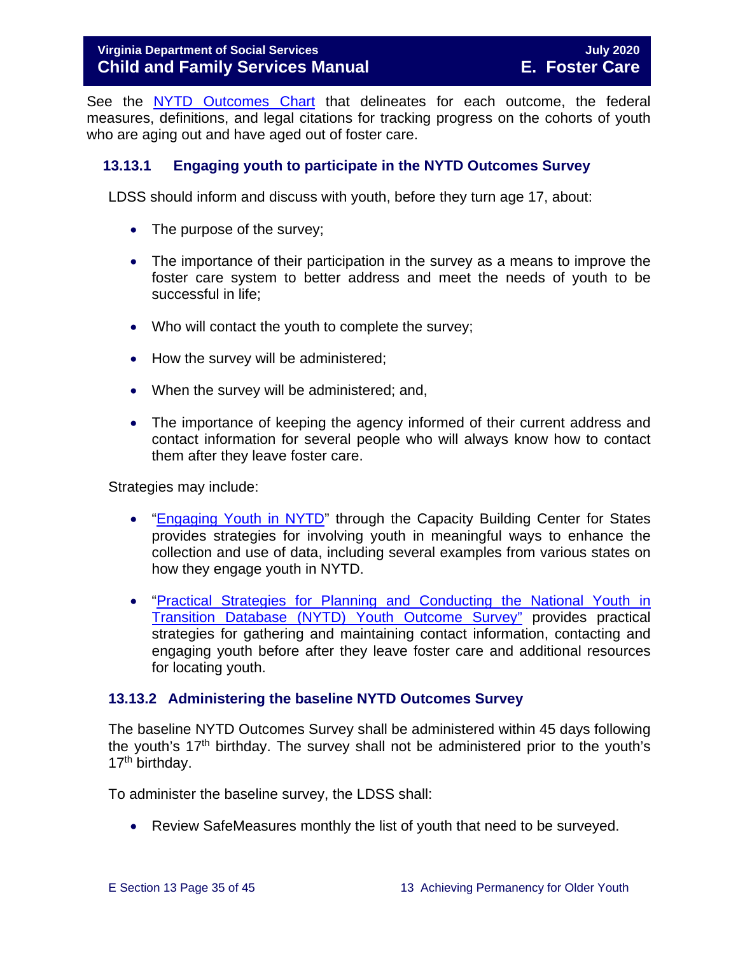#### **Virginia Department of Social Services** July 2020 **Child and Family Services Manual E. Foster Care**

See the [NYTD Outcomes Chart](https://fusion.dss.virginia.gov/dfs/DFS-Home/Foster-Care/Services-for-Older-Youth#NYTD) that delineates for each outcome, the federal measures, definitions, and legal citations for tracking progress on the cohorts of youth who are aging out and have aged out of foster care.

#### <span id="page-34-0"></span>**13.13.1 Engaging youth to participate in the NYTD Outcomes Survey**

LDSS should inform and discuss with youth, before they turn age 17, about:

- The purpose of the survey;
- The importance of their participation in the survey as a means to improve the foster care system to better address and meet the needs of youth to be successful in life;
- Who will contact the youth to complete the survey;
- How the survey will be administered;
- When the survey will be administered; and,
- The importance of keeping the agency informed of their current address and contact information for several people who will always know how to contact them after they leave foster care.

Strategies may include:

- ["Engaging Youth in NYTD"](https://library.childwelfare.gov/cwig/ws/library/docs/capacity/Blob/107700.pdf?r=1&rpp=25&upp=0&w=NATIVE%28%27SIMPLE_SRCH+ph+is+%27%27nytd%27%27%27%29&m=1&order=native%28%27year%2FDescend%27%29) through the Capacity Building Center for States provides strategies for involving youth in meaningful ways to enhance the collection and use of data, including several examples from various states on how they engage youth in NYTD.
- ["Practical Strategies for Planning and Conducting the National Youth in](http://www.pacwrc.pitt.edu/Curriculum/202%20National%20Youth%20in%20Transition%20Database/Trnr%20Rsrcs/TR02_PrctclStrtgsFrTrckngAndLctngYth.pdf)  [Transition Database \(NYTD\) Youth](http://www.pacwrc.pitt.edu/Curriculum/202%20National%20Youth%20in%20Transition%20Database/Trnr%20Rsrcs/TR02_PrctclStrtgsFrTrckngAndLctngYth.pdf) Outcome Survey" provides practical strategies for gathering and maintaining contact information, contacting and engaging youth before after they leave foster care and additional resources for locating youth.

#### <span id="page-34-1"></span>**13.13.2 Administering the baseline NYTD Outcomes Survey**

The baseline NYTD Outcomes Survey shall be administered within 45 days following the youth's  $17<sup>th</sup>$  birthday. The survey shall not be administered prior to the youth's 17<sup>th</sup> birthday.

To administer the baseline survey, the LDSS shall:

• Review SafeMeasures monthly the list of youth that need to be surveyed.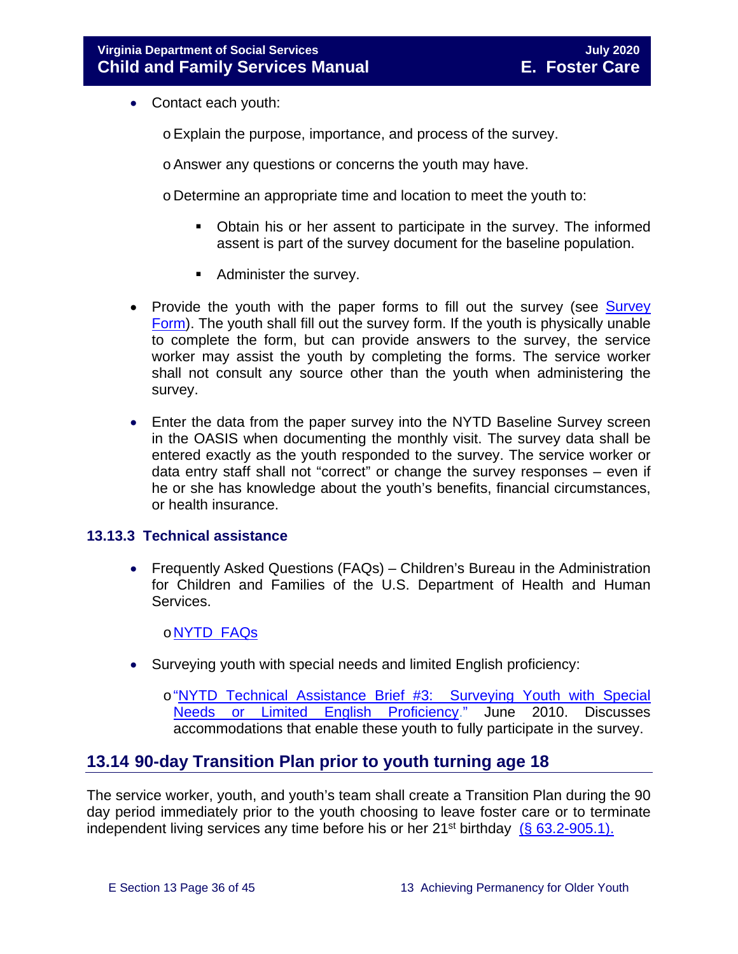- Contact each youth:
	- oExplain the purpose, importance, and process of the survey.
	- oAnswer any questions or concerns the youth may have.
	- o Determine an appropriate time and location to meet the youth to:
		- Obtain his or her assent to participate in the survey. The informed assent is part of the survey document for the baseline population.
		- Administer the survey.
- Provide the youth with the paper forms to fill out the survey (see Survey [Form\)](https://fusion.dss.virginia.gov/dfs/DFS-Home/Foster-Care/Services-for-Older-Youth#NYTD). The youth shall fill out the survey form. If the youth is physically unable to complete the form, but can provide answers to the survey, the service worker may assist the youth by completing the forms. The service worker shall not consult any source other than the youth when administering the survey.
- Enter the data from the paper survey into the NYTD Baseline Survey screen in the OASIS when documenting the monthly visit. The survey data shall be entered exactly as the youth responded to the survey. The service worker or data entry staff shall not "correct" or change the survey responses – even if he or she has knowledge about the youth's benefits, financial circumstances, or health insurance.

#### <span id="page-35-0"></span>**13.13.3 Technical assistance**

• Frequently Asked Questions (FAQs) – Children's Bureau in the Administration for Children and Families of the U.S. Department of Health and Human Services.

#### o[NYTD FAQs](https://www.childwelfare.gov/cb/research-data-technology/reporting-systems/nytd/faq/)

• Surveying youth with special needs and limited English proficiency:

o["NYTD Technical Assistance Brief #3: Surveying Youth with Special](http://www.acf.hhs.gov/programs/cb/resource/nytd-data-brief-3)  [Needs or Limited English Proficiency.](http://www.acf.hhs.gov/programs/cb/resource/nytd-data-brief-3)" June 2010. Discusses accommodations that enable these youth to fully participate in the survey.

#### <span id="page-35-1"></span>**13.14 90-day Transition Plan prior to youth turning age 18**

The service worker, youth, and youth's team shall create a Transition Plan during the 90 day period immediately prior to the youth choosing to leave foster care or to terminate independent living services any time before his or her  $21^{st}$  birthday [\(§ 63.2-905.1\).](https://law.lis.virginia.gov/vacode/title63.2/chapter9/section63.2-905.1/)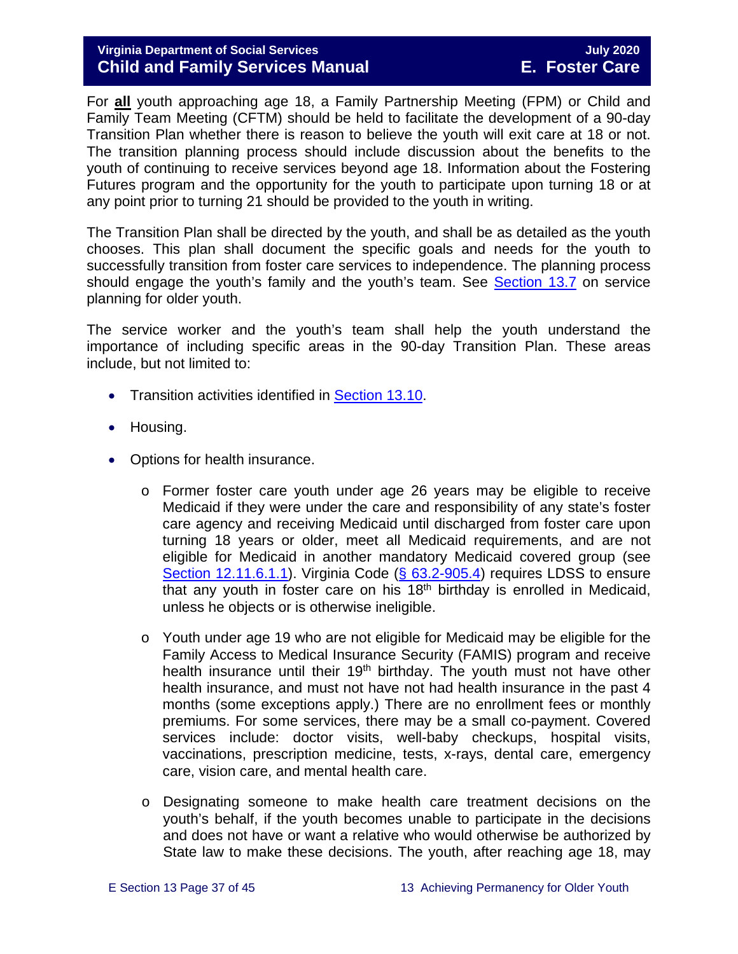#### **Virginia Department of Social Services July 2020 Child and Family Services Manual E. Foster Care**

For **all** youth approaching age 18, a Family Partnership Meeting (FPM) or Child and Family Team Meeting (CFTM) should be held to facilitate the development of a 90-day Transition Plan whether there is reason to believe the youth will exit care at 18 or not. The transition planning process should include discussion about the benefits to the youth of continuing to receive services beyond age 18. Information about the Fostering Futures program and the opportunity for the youth to participate upon turning 18 or at any point prior to turning 21 should be provided to the youth in writing.

The Transition Plan shall be directed by the youth, and shall be as detailed as the youth chooses. This plan shall document the specific goals and needs for the youth to successfully transition from foster care services to independence. The planning process should engage the youth's family and the youth's team. See [Section 13.7](#page-16-0) on service planning for older youth.

The service worker and the youth's team shall help the youth understand the importance of including specific areas in the 90-day Transition Plan. These areas include, but not limited to:

- Transition activities identified in **[Section 13.10.](#page-24-0)**
- Housing.
- Options for health insurance.
	- o Former foster care youth under age 26 years may be eligible to receive Medicaid if they were under the care and responsibility of any state's foster care agency and receiving Medicaid until discharged from foster care upon turning 18 years or older, meet all Medicaid requirements, and are not eligible for Medicaid in another mandatory Medicaid covered group (see [Section 12.11.6.1.1\)](https://fusion.dss.virginia.gov/Portals/%5bdfs%5d/Files/DFS%20Manuals/Foster%20Care%20Manuals/Foster%20Care%20Manual%2007-2020/Final%20Foster%20Care%20Manual%2007-2020/section_12_identifying_services_to_be_provided.pdf#page=31). Virginia Code [\(§ 63.2-905.4\)](https://law.lis.virginia.gov/vacode/title63.2/chapter9/section63.2-905.4/) requires LDSS to ensure that any youth in foster care on his  $18<sup>th</sup>$  birthday is enrolled in Medicaid, unless he objects or is otherwise ineligible.
	- o Youth under age 19 who are not eligible for Medicaid may be eligible for the Family Access to Medical Insurance Security (FAMIS) program and receive health insurance until their 19<sup>th</sup> birthday. The youth must not have other health insurance, and must not have not had health insurance in the past 4 months (some exceptions apply.) There are no enrollment fees or monthly premiums. For some services, there may be a small co-payment. Covered services include: doctor visits, well-baby checkups, hospital visits, vaccinations, prescription medicine, tests, x-rays, dental care, emergency care, vision care, and mental health care.
	- o Designating someone to make health care treatment decisions on the youth's behalf, if the youth becomes unable to participate in the decisions and does not have or want a relative who would otherwise be authorized by State law to make these decisions. The youth, after reaching age 18, may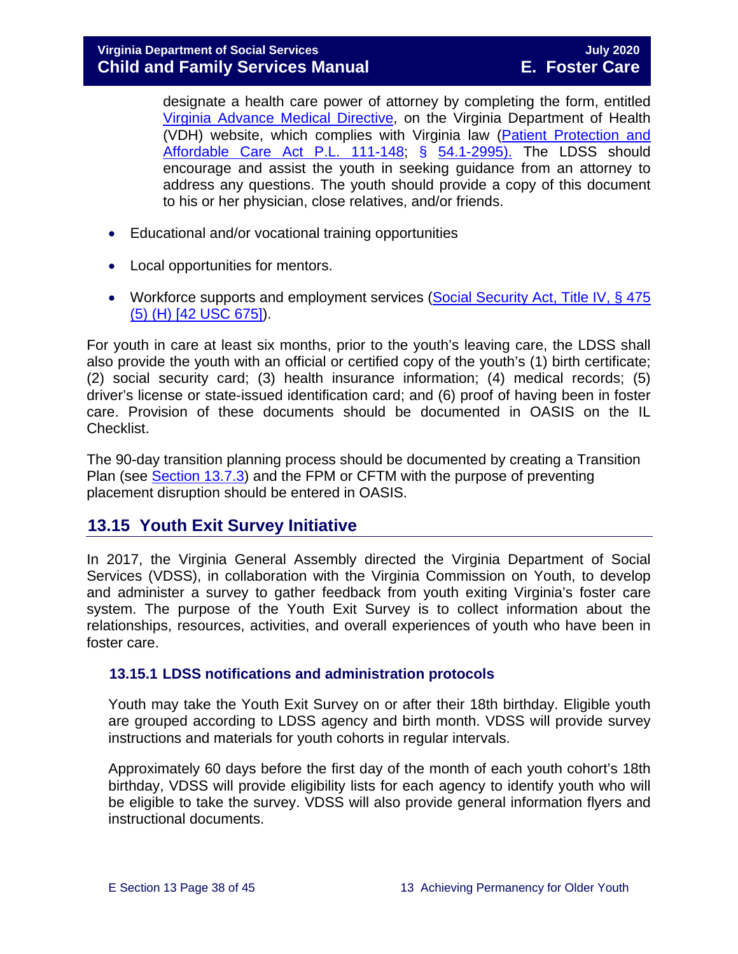designate a health care power of attorney by completing the form, entitled [Virginia Advance Medical Directive,](http://www.vdh.virginia.gov/OLC/documents/2008/pdfs/2005%20advanced%20directive%20form.pdf) on the Virginia Department of Health (VDH) website, which complies with Virginia law [\(Patient Protection and](http://www.gpo.gov/fdsys/pkg/PLAW-111publ148/pdf/PLAW-111publ148.pdf)  [Affordable Care Act P.L. 111-148;](http://www.gpo.gov/fdsys/pkg/PLAW-111publ148/pdf/PLAW-111publ148.pdf) § [54.1-2995\).](https://law.lis.virginia.gov/vacode/54.1-2995/) The LDSS should encourage and assist the youth in seeking guidance from an attorney to address any questions. The youth should provide a copy of this document to his or her physician, close relatives, and/or friends.

- Educational and/or vocational training opportunities
- Local opportunities for mentors.
- Workforce supports and employment services (Social Security Act, Title IV, § 475 [\(5\) \(H\) \[42 USC 675\]\)](http://www.ssa.gov/OP_Home/ssact/title04/0475.htm).

For youth in care at least six months, prior to the youth's leaving care, the LDSS shall also provide the youth with an official or certified copy of the youth's (1) birth certificate; (2) social security card; (3) health insurance information; (4) medical records; (5) driver's license or state-issued identification card; and (6) proof of having been in foster care. Provision of these documents should be documented in OASIS on the IL Checklist.

The 90-day transition planning process should be documented by creating a Transition Plan (see [Section 13.7.3\)](#page-19-1) and the FPM or CFTM with the purpose of preventing placement disruption should be entered in OASIS.

## <span id="page-37-0"></span>**13.15 Youth Exit Survey Initiative**

In 2017, the Virginia General Assembly directed the Virginia Department of Social Services (VDSS), in collaboration with the Virginia Commission on Youth, to develop and administer a survey to gather feedback from youth exiting Virginia's foster care system. The purpose of the Youth Exit Survey is to collect information about the relationships, resources, activities, and overall experiences of youth who have been in foster care.

#### <span id="page-37-1"></span>**13.15.1 LDSS notifications and administration protocols**

Youth may take the Youth Exit Survey on or after their 18th birthday. Eligible youth are grouped according to LDSS agency and birth month. VDSS will provide survey instructions and materials for youth cohorts in regular intervals.

Approximately 60 days before the first day of the month of each youth cohort's 18th birthday, VDSS will provide eligibility lists for each agency to identify youth who will be eligible to take the survey. VDSS will also provide general information flyers and instructional documents.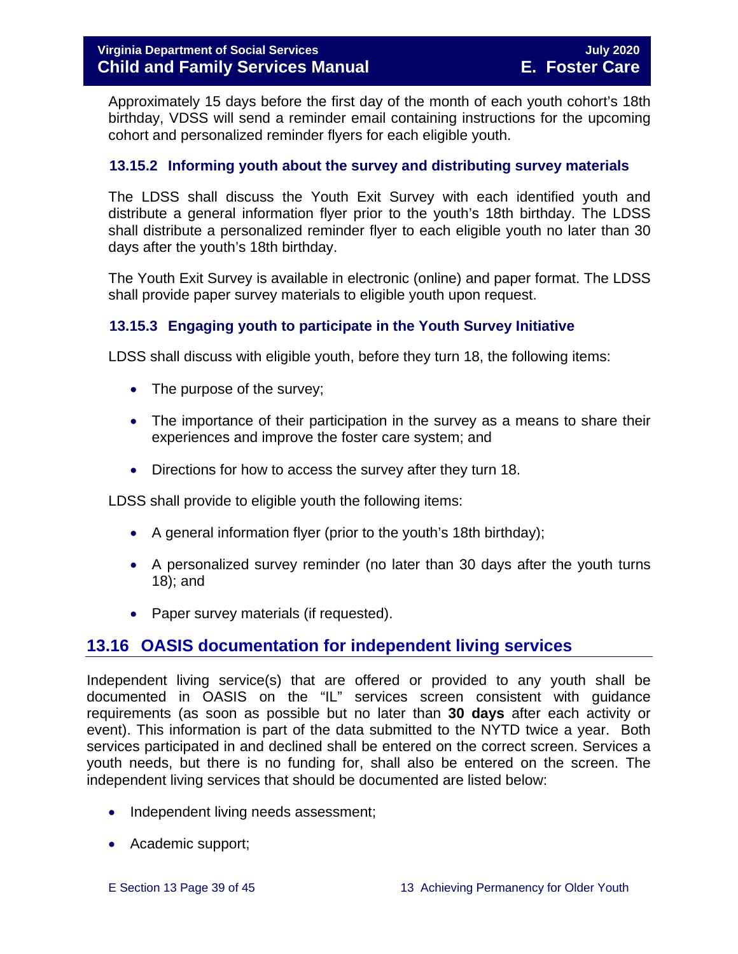Approximately 15 days before the first day of the month of each youth cohort's 18th birthday, VDSS will send a reminder email containing instructions for the upcoming cohort and personalized reminder flyers for each eligible youth.

#### <span id="page-38-0"></span>**13.15.2 Informing youth about the survey and distributing survey materials**

The LDSS shall discuss the Youth Exit Survey with each identified youth and distribute a general information flyer prior to the youth's 18th birthday. The LDSS shall distribute a personalized reminder flyer to each eligible youth no later than 30 days after the youth's 18th birthday.

The Youth Exit Survey is available in electronic (online) and paper format. The LDSS shall provide paper survey materials to eligible youth upon request.

#### <span id="page-38-1"></span>**13.15.3 Engaging youth to participate in the Youth Survey Initiative**

LDSS shall discuss with eligible youth, before they turn 18, the following items:

- The purpose of the survey;
- The importance of their participation in the survey as a means to share their experiences and improve the foster care system; and
- Directions for how to access the survey after they turn 18.

LDSS shall provide to eligible youth the following items:

- A general information flyer (prior to the youth's 18th birthday);
- A personalized survey reminder (no later than 30 days after the youth turns 18); and
- Paper survey materials (if requested).

## <span id="page-38-2"></span>**13.16 OASIS documentation for independent living services**

Independent living service(s) that are offered or provided to any youth shall be documented in OASIS on the "IL" services screen consistent with guidance requirements (as soon as possible but no later than **30 days** after each activity or event). This information is part of the data submitted to the NYTD twice a year. Both services participated in and declined shall be entered on the correct screen. Services a youth needs, but there is no funding for, shall also be entered on the screen. The independent living services that should be documented are listed below:

- Independent living needs assessment;
- Academic support;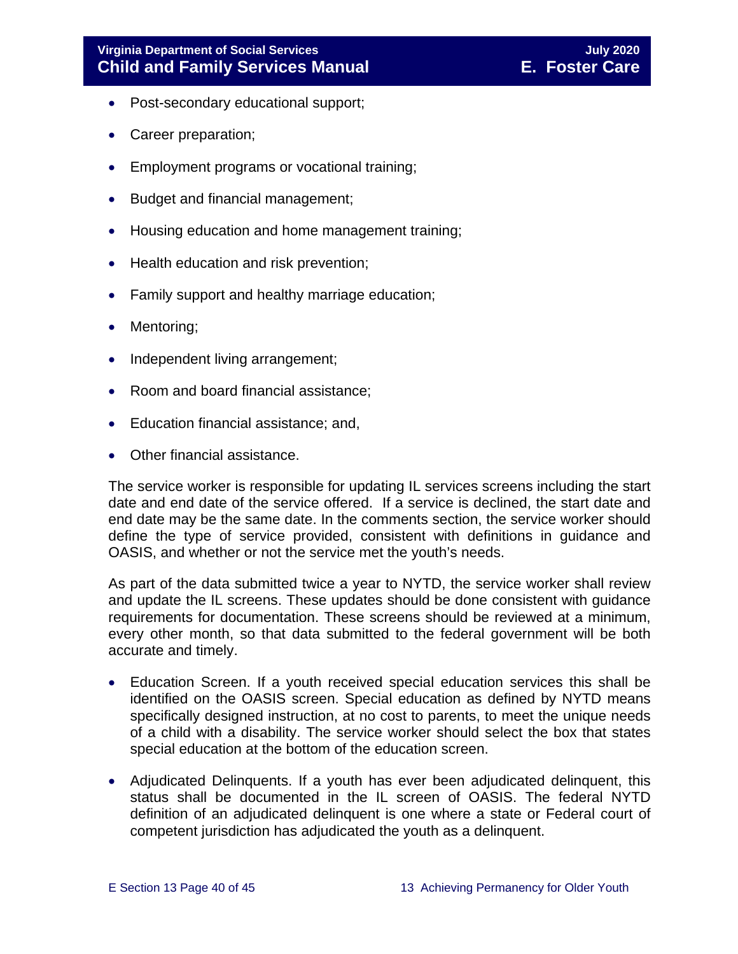- Post-secondary educational support;
- Career preparation;
- Employment programs or vocational training;
- Budget and financial management;
- Housing education and home management training;
- Health education and risk prevention;
- Family support and healthy marriage education;
- Mentoring:
- Independent living arrangement;
- Room and board financial assistance;
- Education financial assistance; and,
- Other financial assistance.

The service worker is responsible for updating IL services screens including the start date and end date of the service offered. If a service is declined, the start date and end date may be the same date. In the comments section, the service worker should define the type of service provided, consistent with definitions in guidance and OASIS, and whether or not the service met the youth's needs.

As part of the data submitted twice a year to NYTD, the service worker shall review and update the IL screens. These updates should be done consistent with guidance requirements for documentation. These screens should be reviewed at a minimum, every other month, so that data submitted to the federal government will be both accurate and timely.

- Education Screen. If a youth received special education services this shall be identified on the OASIS screen. Special education as defined by NYTD means specifically designed instruction, at no cost to parents, to meet the unique needs of a child with a disability. The service worker should select the box that states special education at the bottom of the education screen.
- Adjudicated Delinquents. If a youth has ever been adjudicated delinquent, this status shall be documented in the IL screen of OASIS. The federal NYTD definition of an adjudicated delinquent is one where a state or Federal court of competent jurisdiction has adjudicated the youth as a delinquent.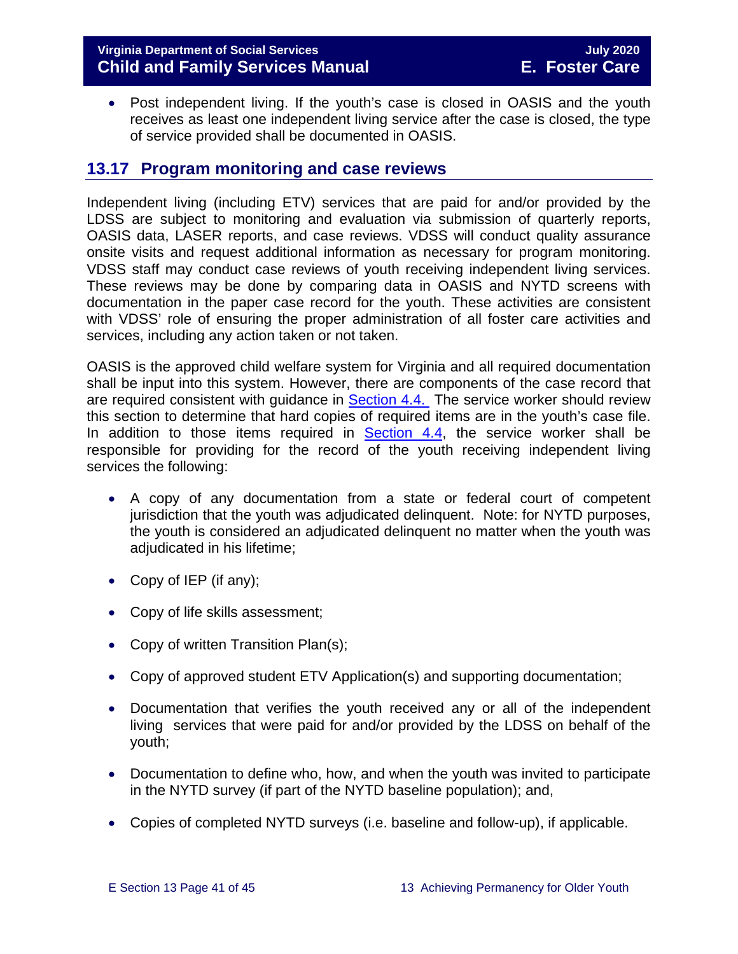#### **Virginia Department of Social Services July 2020 Child and Family Services Manual E. Foster Care**

• Post independent living. If the youth's case is closed in OASIS and the youth receives as least one independent living service after the case is closed, the type of service provided shall be documented in OASIS.

## <span id="page-40-0"></span>**13.17 Program monitoring and case reviews**

Independent living (including ETV) services that are paid for and/or provided by the LDSS are subject to monitoring and evaluation via submission of quarterly reports, OASIS data, LASER reports, and case reviews. VDSS will conduct quality assurance onsite visits and request additional information as necessary for program monitoring. VDSS staff may conduct case reviews of youth receiving independent living services. These reviews may be done by comparing data in OASIS and NYTD screens with documentation in the paper case record for the youth. These activities are consistent with VDSS' role of ensuring the proper administration of all foster care activities and services, including any action taken or not taken.

OASIS is the approved child welfare system for Virginia and all required documentation shall be input into this system. However, there are components of the case record that are required consistent with guidance in **Section 4.4.** The service worker should review this section to determine that hard copies of required items are in the youth's case file. In addition to those items required in  $Section 4.4$ , the service worker shall be responsible for providing for the record of the youth receiving independent living services the following:

- A copy of any documentation from a state or federal court of competent jurisdiction that the youth was adjudicated delinquent. Note: for NYTD purposes, the youth is considered an adjudicated delinquent no matter when the youth was adjudicated in his lifetime;
- Copy of IEP (if any);
- Copy of life skills assessment;
- Copy of written Transition Plan(s);
- Copy of approved student ETV Application(s) and supporting documentation;
- Documentation that verifies the youth received any or all of the independent living services that were paid for and/or provided by the LDSS on behalf of the youth;
- Documentation to define who, how, and when the youth was invited to participate in the NYTD survey (if part of the NYTD baseline population); and,
- Copies of completed NYTD surveys (i.e. baseline and follow-up), if applicable.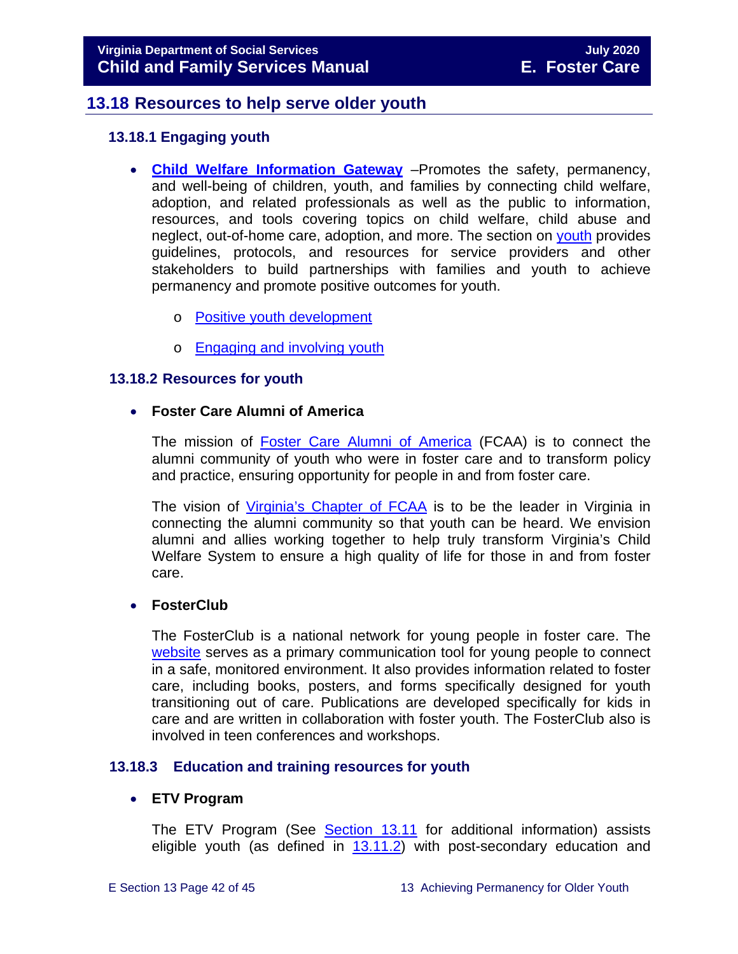## **13.18 Resources to help serve older youth**

#### <span id="page-41-1"></span><span id="page-41-0"></span>**13.18.1 Engaging youth**

- **[Child Welfare Information Gateway](https://www.childwelfare.gov/)** –Promotes the safety, permanency, and well-being of children, youth, and families by connecting child welfare, adoption, and related professionals as well as the public to information, resources, and tools covering topics on child welfare, child abuse and neglect, out-of-home care, adoption, and more. The section on [youth](https://www.childwelfare.gov/topics/systemwide/youth/) provides guidelines, protocols, and resources for service providers and other stakeholders to build partnerships with families and youth to achieve permanency and promote positive outcomes for youth.
	- o [Positive youth development](https://www.childwelfare.gov/topics/systemwide/youth/development/)
	- o [Engaging and involving youth](https://www.childwelfare.gov/topics/systemwide/youth/engagingyouth/)

#### <span id="page-41-2"></span>**13.18.2 Resources for youth**

#### • **Foster Care Alumni of America**

The mission of **[Foster Care Alumni of America](http://www.fostercarealumni.org/)** (FCAA) is to connect the alumni community of youth who were in foster care and to transform policy and practice, ensuring opportunity for people in and from foster care.

The vision of [Virginia's](http://www.fostercarealumni.org/virginia-chapter/) Chapter of FCAA is to be the leader in Virginia in connecting the alumni community so that youth can be heard. We envision alumni and allies working together to help truly transform Virginia's Child Welfare System to ensure a high quality of life for those in and from foster care.

#### • **FosterClub**

The FosterClub is a national network for young people in foster care. The [website](http://www.fosterclub.com/) serves as a primary communication tool for young people to connect in a safe, monitored environment. It also provides information related to foster care, including books, posters, and forms specifically designed for youth transitioning out of care. Publications are developed specifically for kids in care and are written in collaboration with foster youth. The FosterClub also is involved in teen conferences and workshops.

#### <span id="page-41-3"></span>**13.18.3 Education and training resources for youth**

#### • **ETV Program**

The ETV Program (See [Section 13.11](#page-25-0) for additional information) assists eligible youth (as defined in [13.11.2\)](#page-26-1) with post-secondary education and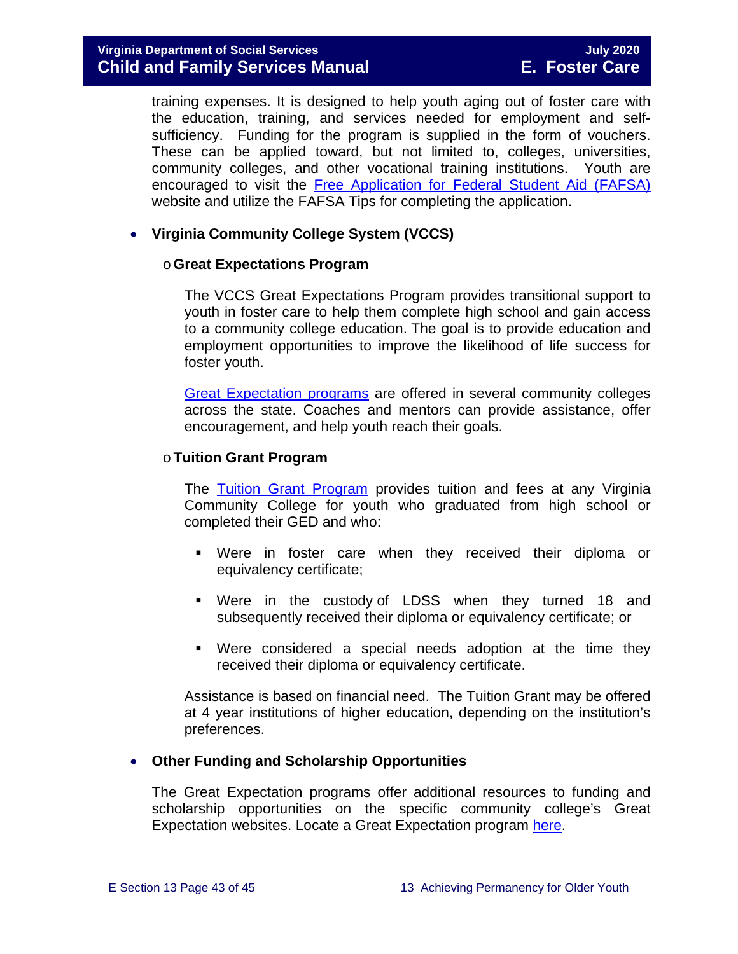training expenses. It is designed to help youth aging out of foster care with the education, training, and services needed for employment and selfsufficiency. Funding for the program is supplied in the form of vouchers. These can be applied toward, but not limited to, colleges, universities, community colleges, and other vocational training institutions. Youth are encouraged to visit the [Free Application for Federal Student Aid \(FAFSA\)](http://www.fafsa.ed.gov/) website and utilize the FAFSA Tips for completing the application.

#### • **Virginia Community College System (VCCS)**

#### o**Great Expectations Program**

The VCCS Great Expectations Program provides transitional support to youth in foster care to help them complete high school and gain access to a community college education. The goal is to provide education and employment opportunities to improve the likelihood of life success for foster youth.

[Great Expectation programs](http://greatexpectations.vccs.edu/) are offered in several community colleges across the state. Coaches and mentors can provide assistance, offer encouragement, and help youth reach their goals.

#### o**Tuition Grant Program**

The [Tuition Grant Program](http://cdn.vccs.edu/wp-content/uploads/2013/07/vatutiongrantflyer.pdf) provides tuition and fees at any Virginia Community College for youth who graduated from high school or completed their GED and who:

- Were in foster care when they received their diploma or equivalency certificate;
- Were in the custody of LDSS when they turned 18 and subsequently received their diploma or equivalency certificate; or
- Were considered a special needs adoption at the time they received their diploma or equivalency certificate.

Assistance is based on financial need. The Tuition Grant may be offered at 4 year institutions of higher education, depending on the institution's preferences.

#### • **Other Funding and Scholarship Opportunities**

The Great Expectation programs offer additional resources to funding and scholarship opportunities on the specific community college's Great Expectation websites. Locate a Great Expectation program [here.](http://greatexpectations.vccs.edu/find-a-college/)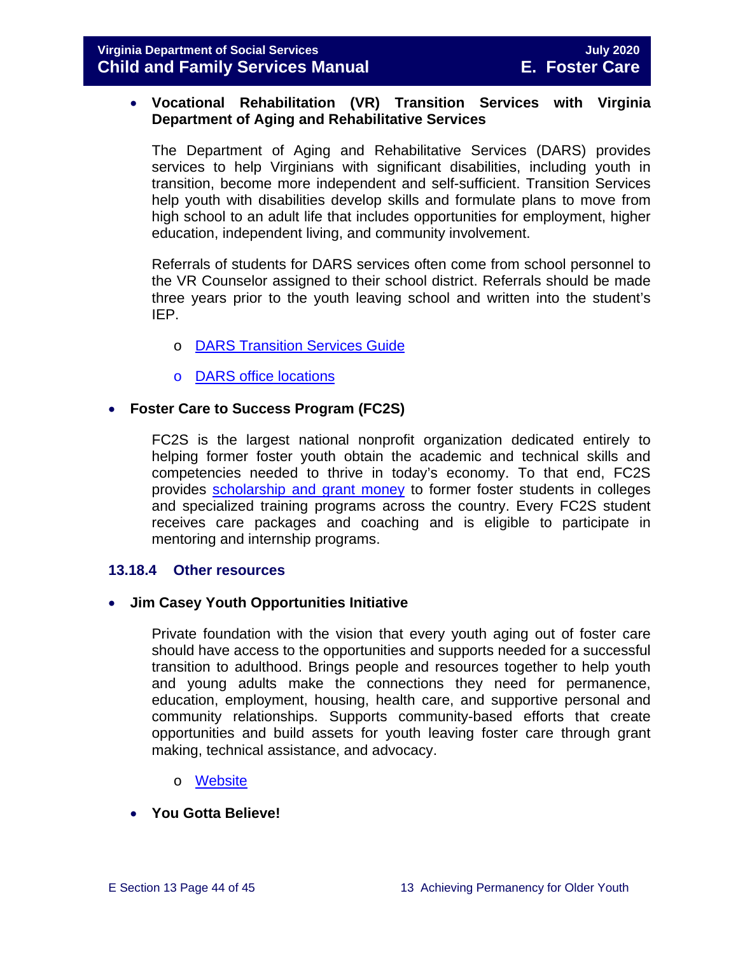#### • **Vocational Rehabilitation (VR) Transition Services with Virginia Department of Aging and Rehabilitative Services**

The Department of Aging and Rehabilitative Services (DARS) provides services to help Virginians with significant disabilities, including youth in transition, become more independent and self-sufficient. Transition Services help youth with disabilities develop skills and formulate plans to move from high school to an adult life that includes opportunities for employment, higher education, independent living, and community involvement.

Referrals of students for DARS services often come from school personnel to the VR Counselor assigned to their school district. Referrals should be made three years prior to the youth leaving school and written into the student's IEP.

- o [DARS Transition Services Guide](https://www.vadars.org/downloads/publications/TransitionServicesGuide.pdf)
- o [DARS office locations](http://www.vadrs.org/office.html)

#### • **Foster Care to Success Program (FC2S)**

FC2S is the largest national nonprofit organization dedicated entirely to helping former foster youth obtain the academic and technical skills and competencies needed to thrive in today's economy. To that end, FC2S provides [scholarship and grant money](http://www.fc2success.org/) to former foster students in colleges and specialized training programs across the country. Every FC2S student receives care packages and coaching and is eligible to participate in mentoring and internship programs.

#### <span id="page-43-0"></span>**13.18.4 Other resources**

#### • **Jim Casey Youth Opportunities Initiative**

Private foundation with the vision that every youth aging out of foster care should have access to the opportunities and supports needed for a successful transition to adulthood. Brings people and resources together to help youth and young adults make the connections they need for permanence, education, employment, housing, health care, and supportive personal and community relationships. Supports community-based efforts that create opportunities and build assets for youth leaving foster care through grant making, technical assistance, and advocacy.

- o [Website](http://www.jimcaseyyouth.org/)
- **You Gotta Believe!**